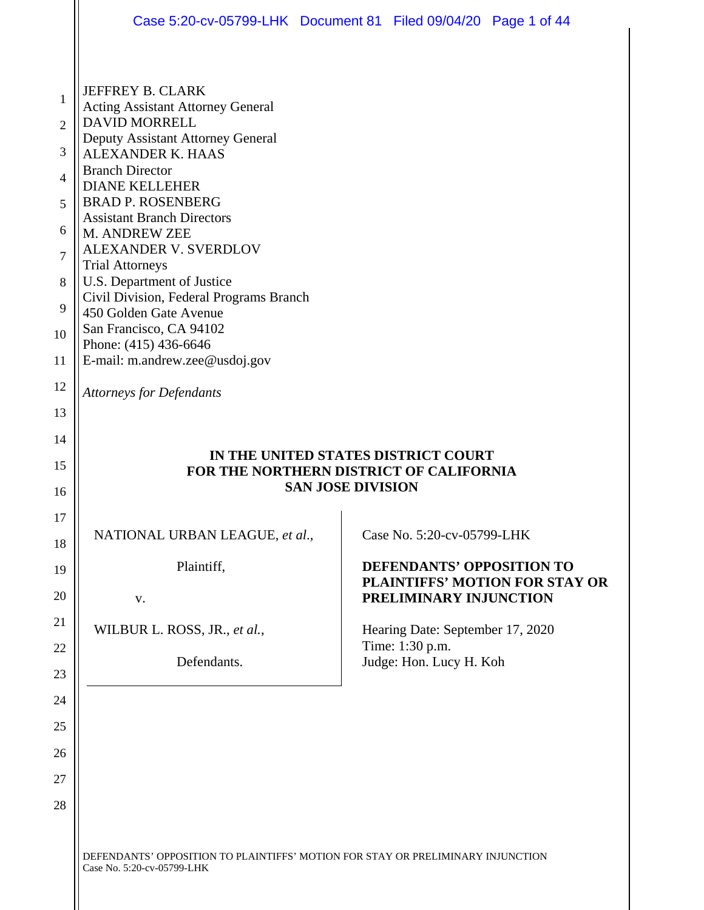|                                                                              | Case 5:20-cv-05799-LHK  Document 81  Filed 09/04/20  Page 1 of 44                                                                                                                                                                                                                                                                                                                                                                                                                                    |                          |                                                     |                                       |
|------------------------------------------------------------------------------|------------------------------------------------------------------------------------------------------------------------------------------------------------------------------------------------------------------------------------------------------------------------------------------------------------------------------------------------------------------------------------------------------------------------------------------------------------------------------------------------------|--------------------------|-----------------------------------------------------|---------------------------------------|
|                                                                              |                                                                                                                                                                                                                                                                                                                                                                                                                                                                                                      |                          |                                                     |                                       |
| $\mathbf{1}$<br>$\overline{2}$<br>3<br>4<br>5<br>6<br>$\tau$<br>8<br>9<br>10 | JEFFREY B. CLARK<br><b>Acting Assistant Attorney General</b><br><b>DAVID MORRELL</b><br>Deputy Assistant Attorney General<br><b>ALEXANDER K. HAAS</b><br><b>Branch Director</b><br><b>DIANE KELLEHER</b><br><b>BRAD P. ROSENBERG</b><br><b>Assistant Branch Directors</b><br>M. ANDREW ZEE<br>ALEXANDER V. SVERDLOV<br><b>Trial Attorneys</b><br>U.S. Department of Justice<br>Civil Division, Federal Programs Branch<br>450 Golden Gate Avenue<br>San Francisco, CA 94102<br>Phone: (415) 436-6646 |                          |                                                     |                                       |
| 11                                                                           | E-mail: m.andrew.zee@usdoj.gov                                                                                                                                                                                                                                                                                                                                                                                                                                                                       |                          |                                                     |                                       |
| 12                                                                           | <b>Attorneys for Defendants</b>                                                                                                                                                                                                                                                                                                                                                                                                                                                                      |                          |                                                     |                                       |
| 13                                                                           |                                                                                                                                                                                                                                                                                                                                                                                                                                                                                                      |                          |                                                     |                                       |
| 14<br>15                                                                     | FOR THE NORTHERN DISTRICT OF CALIFORNIA                                                                                                                                                                                                                                                                                                                                                                                                                                                              |                          | IN THE UNITED STATES DISTRICT COURT                 |                                       |
| 16                                                                           |                                                                                                                                                                                                                                                                                                                                                                                                                                                                                                      | <b>SAN JOSE DIVISION</b> |                                                     |                                       |
| 17<br>18                                                                     | NATIONAL URBAN LEAGUE, et al.,                                                                                                                                                                                                                                                                                                                                                                                                                                                                       |                          | Case No. 5:20-cv-05799-LHK                          |                                       |
| 19<br>20                                                                     | Plaintiff,                                                                                                                                                                                                                                                                                                                                                                                                                                                                                           |                          | <b>DEFENDANTS' OPPOSITION TO</b>                    | <b>PLAINTIFFS' MOTION FOR STAY OR</b> |
|                                                                              |                                                                                                                                                                                                                                                                                                                                                                                                                                                                                                      |                          |                                                     |                                       |
|                                                                              | V.                                                                                                                                                                                                                                                                                                                                                                                                                                                                                                   |                          | PRELIMINARY INJUNCTION                              |                                       |
| 21                                                                           | WILBUR L. ROSS, JR., et al.,                                                                                                                                                                                                                                                                                                                                                                                                                                                                         |                          | Hearing Date: September 17, 2020<br>Time: 1:30 p.m. |                                       |
| 22<br>23                                                                     | Defendants.                                                                                                                                                                                                                                                                                                                                                                                                                                                                                          |                          | Judge: Hon. Lucy H. Koh                             |                                       |
| 24                                                                           |                                                                                                                                                                                                                                                                                                                                                                                                                                                                                                      |                          |                                                     |                                       |
| 25                                                                           |                                                                                                                                                                                                                                                                                                                                                                                                                                                                                                      |                          |                                                     |                                       |
| 26                                                                           |                                                                                                                                                                                                                                                                                                                                                                                                                                                                                                      |                          |                                                     |                                       |
| 27                                                                           |                                                                                                                                                                                                                                                                                                                                                                                                                                                                                                      |                          |                                                     |                                       |
| 28                                                                           |                                                                                                                                                                                                                                                                                                                                                                                                                                                                                                      |                          |                                                     |                                       |
|                                                                              |                                                                                                                                                                                                                                                                                                                                                                                                                                                                                                      |                          |                                                     |                                       |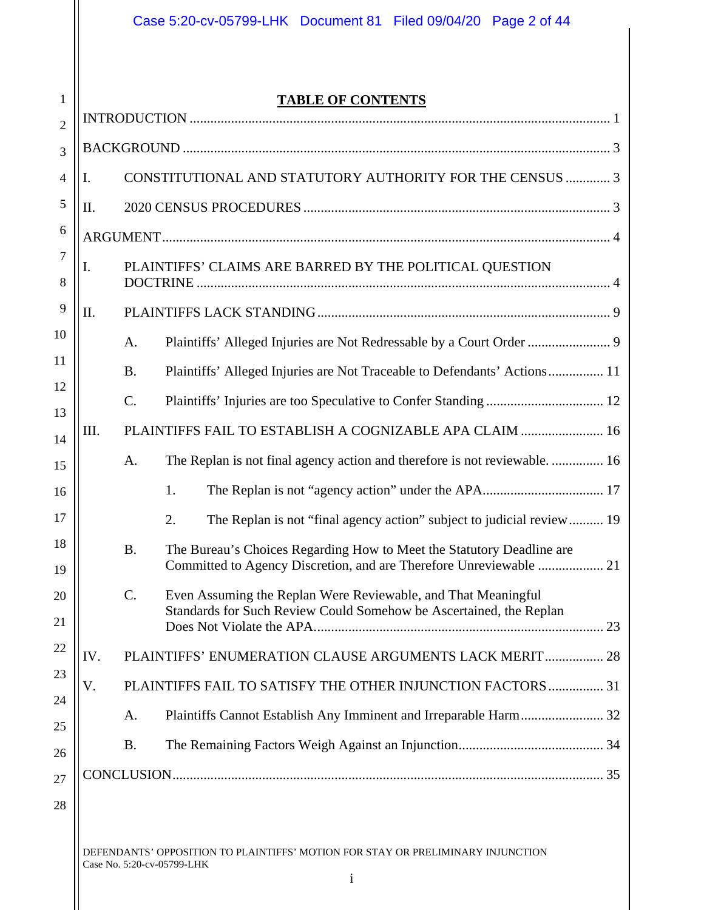1

## **TABLE OF CONTENTS**

| $\overline{2}$      |      |           |                                                                                                 |    |
|---------------------|------|-----------|-------------------------------------------------------------------------------------------------|----|
| 3                   |      |           |                                                                                                 |    |
| 4                   | Ι.   |           | CONSTITUTIONAL AND STATUTORY AUTHORITY FOR THE CENSUS  3                                        |    |
| 5                   | Π.   |           |                                                                                                 |    |
| 6                   |      |           |                                                                                                 |    |
| $\overline{7}$<br>8 | I.   |           | PLAINTIFFS' CLAIMS ARE BARRED BY THE POLITICAL QUESTION                                         |    |
| 9                   | II.  |           |                                                                                                 |    |
| 10                  |      | Α.        |                                                                                                 |    |
| 11                  |      | <b>B.</b> | Plaintiffs' Alleged Injuries are Not Traceable to Defendants' Actions 11                        |    |
| 12<br>13            |      | C.        |                                                                                                 |    |
| 14                  | III. |           | PLAINTIFFS FAIL TO ESTABLISH A COGNIZABLE APA CLAIM  16                                         |    |
| 15                  |      | A.        | The Replan is not final agency action and therefore is not reviewable 16                        |    |
| 16                  |      |           | 1.                                                                                              |    |
| 17                  |      |           | 2.<br>The Replan is not "final agency action" subject to judicial review 19                     |    |
| 18<br>19            |      | <b>B.</b> | The Bureau's Choices Regarding How to Meet the Statutory Deadline are                           |    |
| 20                  |      | $C$ .     | Even Assuming the Replan Were Reviewable, and That Meaningful                                   |    |
| 21                  |      |           | Standards for Such Review Could Somehow be Ascertained, the Replan<br>Does Not Violate the APA. | 23 |
| 22                  | IV.  |           | PLAINTIFFS' ENUMERATION CLAUSE ARGUMENTS LACK MERIT  28                                         |    |
| 23                  | V.   |           | PLAINTIFFS FAIL TO SATISFY THE OTHER INJUNCTION FACTORS  31                                     |    |
| 24<br>25            |      | A.        |                                                                                                 |    |
| 26                  |      | <b>B.</b> |                                                                                                 |    |
| 27                  |      |           |                                                                                                 |    |
|                     |      |           |                                                                                                 |    |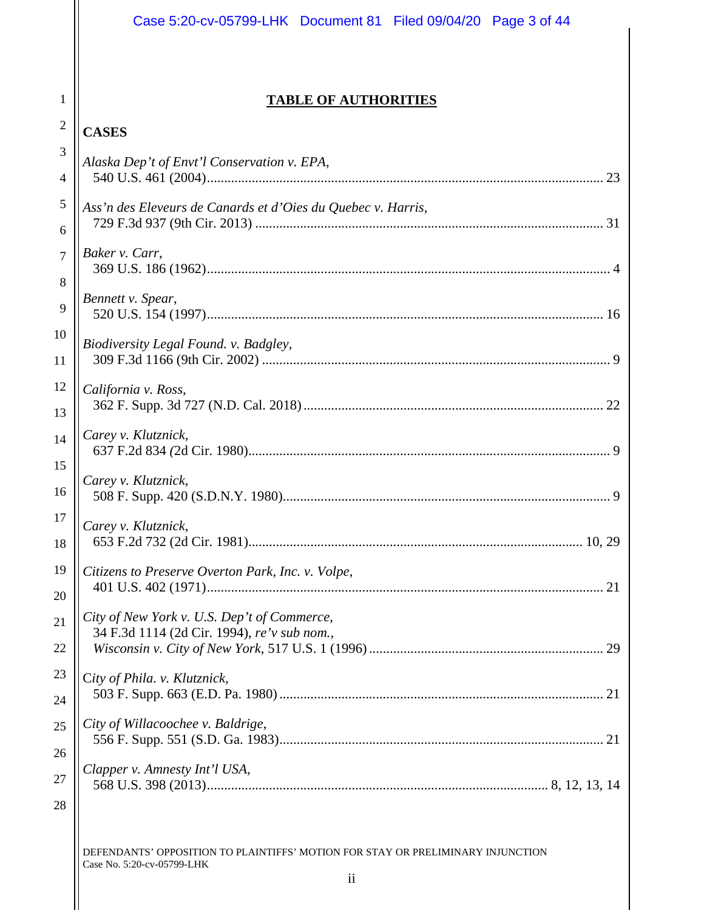|                     | Case 5:20-cv-05799-LHK Document 81 Filed 09/04/20 Page 3 of 44                             |  |
|---------------------|--------------------------------------------------------------------------------------------|--|
|                     |                                                                                            |  |
| 1                   | <b>TABLE OF AUTHORITIES</b>                                                                |  |
| $\overline{c}$      | <b>CASES</b>                                                                               |  |
| 3                   | Alaska Dep't of Envt'l Conservation v. EPA,                                                |  |
| 4                   |                                                                                            |  |
| 5<br>6              | Ass'n des Eleveurs de Canards et d'Oies du Quebec v. Harris,                               |  |
| $\overline{7}$<br>8 | Baker v. Carr,                                                                             |  |
| 9                   | Bennett v. Spear,                                                                          |  |
| 10<br>11            | Biodiversity Legal Found. v. Badgley,                                                      |  |
| 12<br>13            | California v. Ross,                                                                        |  |
| 14<br>15            | Carey v. Klutznick,                                                                        |  |
| 16                  | Carey v. Klutznick,                                                                        |  |
| 17<br>18            | Carey v. Klutznick,                                                                        |  |
| 19<br>20            | Citizens to Preserve Overton Park, Inc. v. Volpe,                                          |  |
| 21                  | City of New York v. U.S. Dep't of Commerce,<br>34 F.3d 1114 (2d Cir. 1994), re'v sub nom., |  |
| 22                  |                                                                                            |  |
| 23<br>24            | City of Phila. v. Klutznick,                                                               |  |
| 25<br>26            | City of Willacoochee v. Baldrige,                                                          |  |
| 27                  | Clapper v. Amnesty Int'l USA,                                                              |  |
| 28                  |                                                                                            |  |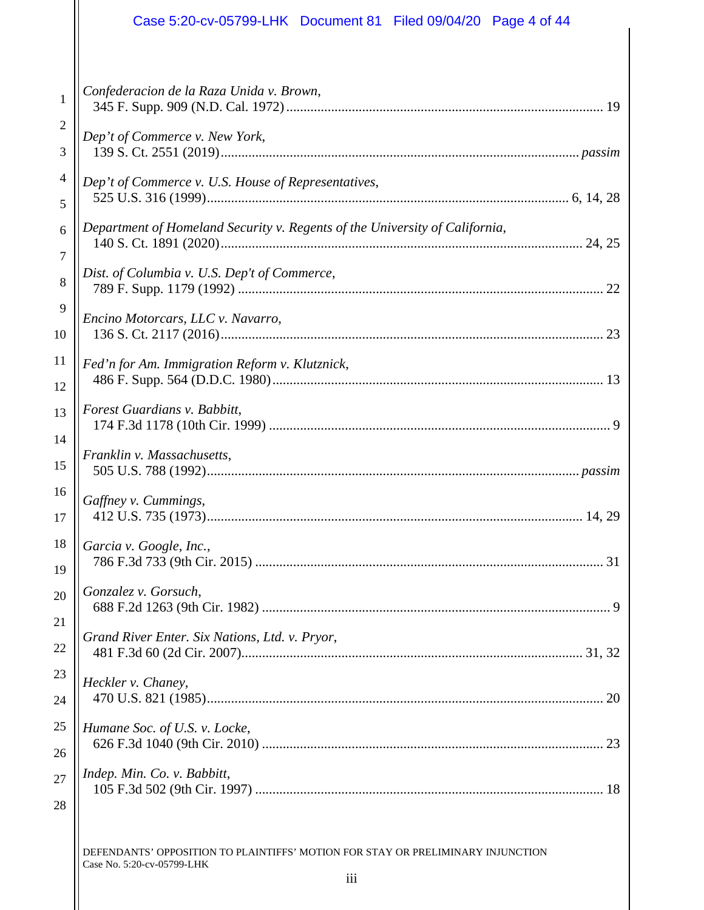## Case 5:20-cv-05799-LHK Document 81 Filed 09/04/20 Page 4 of 44

| $\mathbf{1}$   | Confederacion de la Raza Unida v. Brown,                                    |
|----------------|-----------------------------------------------------------------------------|
| $\overline{c}$ | Dep't of Commerce v. New York,                                              |
| 3              |                                                                             |
| $\overline{4}$ | Dep't of Commerce v. U.S. House of Representatives,                         |
| 5              |                                                                             |
| 6              | Department of Homeland Security v. Regents of the University of California, |
| $\tau$         |                                                                             |
| $\, 8$         | Dist. of Columbia v. U.S. Dep't of Commerce,                                |
| 9              | Encino Motorcars, LLC v. Navarro,                                           |
| 10             |                                                                             |
| 11             | Fed'n for Am. Immigration Reform v. Klutznick,                              |
| 12             |                                                                             |
| 13             | Forest Guardians v. Babbitt,                                                |
| 14             | Franklin v. Massachusetts,                                                  |
| 15             |                                                                             |
| 16             | Gaffney v. Cummings,                                                        |
| 17             |                                                                             |
| 18             | Garcia v. Google, Inc.,                                                     |
| 19             |                                                                             |
| 20             | Gonzalez v. Gorsuch,                                                        |
| 21             |                                                                             |
| 22             | Grand River Enter. Six Nations, Ltd. v. Pryor,                              |
| 23             | Heckler v. Chaney,                                                          |
| 24             |                                                                             |
| 25             | Humane Soc. of U.S. v. Locke,                                               |
| 26             |                                                                             |
| 27             | Indep. Min. Co. v. Babbitt,                                                 |
| 28             |                                                                             |
|                |                                                                             |
|                |                                                                             |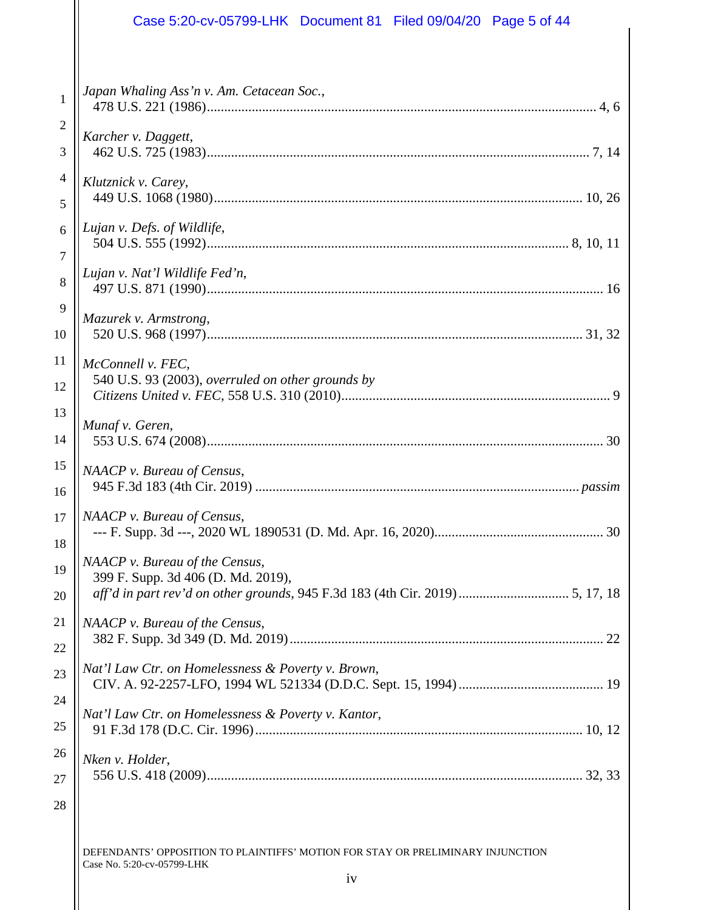|                | Case 5:20-cv-05799-LHK Document 81 Filed 09/04/20 Page 5 of 44                                                                                        |
|----------------|-------------------------------------------------------------------------------------------------------------------------------------------------------|
| 1              | Japan Whaling Ass'n v. Am. Cetacean Soc.,                                                                                                             |
| 2              |                                                                                                                                                       |
| 3              | Karcher v. Daggett,                                                                                                                                   |
| $\overline{4}$ | Klutznick v. Carey,                                                                                                                                   |
| 5              |                                                                                                                                                       |
| 6              | Lujan v. Defs. of Wildlife,                                                                                                                           |
| $\overline{7}$ |                                                                                                                                                       |
| 8              | Lujan v. Nat'l Wildlife Fed'n,                                                                                                                        |
| 9              | Mazurek v. Armstrong,                                                                                                                                 |
| 10             |                                                                                                                                                       |
| 11<br>12       | McConnell v. FEC,<br>540 U.S. 93 (2003), overruled on other grounds by                                                                                |
| 13             | Munaf v. Geren,                                                                                                                                       |
| 14             |                                                                                                                                                       |
| 15             | NAACP v. Bureau of Census,                                                                                                                            |
| 16             |                                                                                                                                                       |
| 17             | NAACP v. Bureau of Census,                                                                                                                            |
| 18             |                                                                                                                                                       |
| 19<br>20       | NAACP v. Bureau of the Census,<br>399 F. Supp. 3d 406 (D. Md. 2019),<br>aff'd in part rev'd on other grounds, 945 F.3d 183 (4th Cir. 2019)  5, 17, 18 |
| 21             | NAACP v. Bureau of the Census,                                                                                                                        |
| 22             |                                                                                                                                                       |
| 23             | Nat'l Law Ctr. on Homelessness & Poverty v. Brown,                                                                                                    |
| 24             | Nat'l Law Ctr. on Homelessness & Poverty v. Kantor,                                                                                                   |
| 25             |                                                                                                                                                       |
| 26             | Nken v. Holder,                                                                                                                                       |
| 27             |                                                                                                                                                       |
| 28             |                                                                                                                                                       |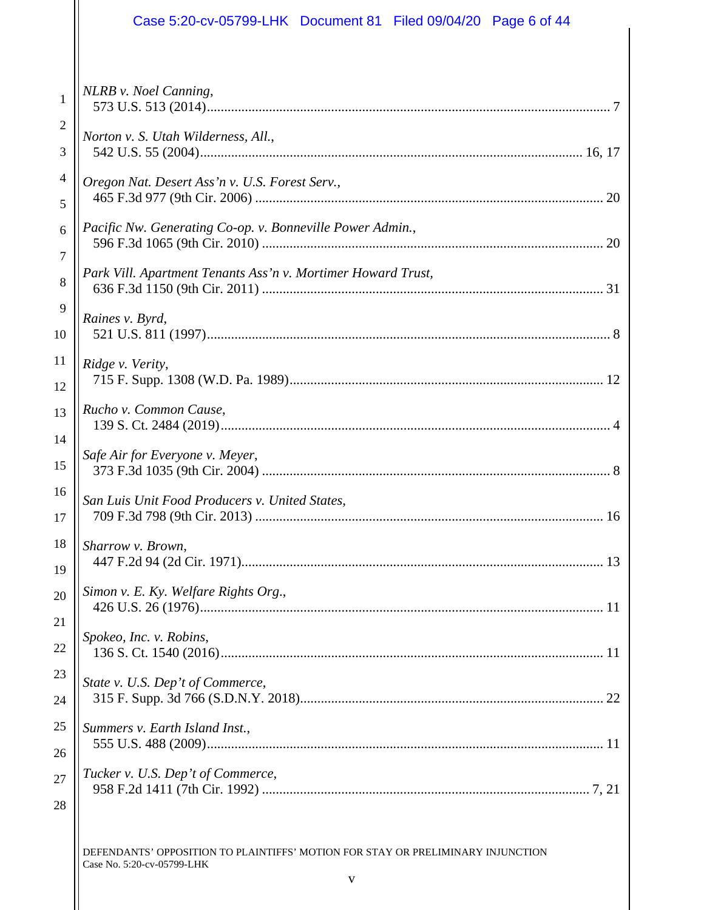## Case 5:20-cv-05799-LHK Document 81 Filed 09/04/20 Page 6 of 44

| 1                   | NLRB v. Noel Canning,                                        |
|---------------------|--------------------------------------------------------------|
| $\overline{c}$<br>3 | Norton v. S. Utah Wilderness, All.,                          |
| $\overline{4}$<br>5 | Oregon Nat. Desert Ass'n v. U.S. Forest Serv.,               |
| 6                   | Pacific Nw. Generating Co-op. v. Bonneville Power Admin.,    |
| 7                   |                                                              |
| 8                   | Park Vill. Apartment Tenants Ass'n v. Mortimer Howard Trust, |
| 9                   | Raines v. Byrd,                                              |
| 10                  |                                                              |
| 11                  | Ridge v. Verity,                                             |
| 12<br>13            | Rucho v. Common Cause,                                       |
| 14                  |                                                              |
| 15                  | Safe Air for Everyone v. Meyer,                              |
| 16                  | San Luis Unit Food Producers v. United States,               |
| 17                  |                                                              |
| 18                  | Sharrow v. Brown,                                            |
| 19<br>20            | Simon v. E. Ky. Welfare Rights Org.,                         |
| 21<br>22            | Spokeo, Inc. v. Robins,                                      |
| 23                  | State v. U.S. Dep't of Commerce,                             |
| 24                  |                                                              |
| 25                  | Summers v. Earth Island Inst.,                               |
| 26                  |                                                              |
| 27                  | Tucker v. U.S. Dep't of Commerce,                            |
| 28                  |                                                              |
|                     |                                                              |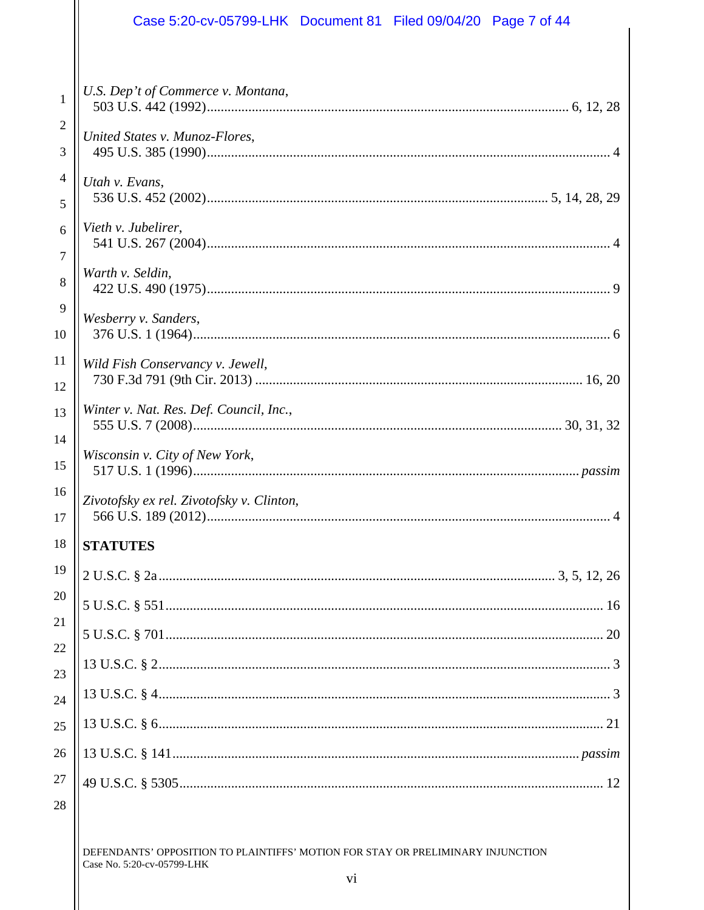| Case 5:20-cv-05799-LHK  Document 81  Filed 09/04/20  Page 7 of 44 |  |  |
|-------------------------------------------------------------------|--|--|
|                                                                   |  |  |
| U.S. Dep't of Commerce v. Montana,                                |  |  |
| United States v. Munoz-Flores,                                    |  |  |
| Utah v. Evans,                                                    |  |  |
| Vieth v. Jubelirer,                                               |  |  |
| Warth v. Seldin,                                                  |  |  |
| Wesberry v. Sanders,                                              |  |  |
| Wild Fish Conservancy v. Jewell,                                  |  |  |
| Winter v. Nat. Res. Def. Council, Inc.,                           |  |  |
| Wisconsin v. City of New York,                                    |  |  |
| Zivotofsky ex rel. Zivotofsky v. Clinton,                         |  |  |
| <b>STATUTES</b>                                                   |  |  |
|                                                                   |  |  |
|                                                                   |  |  |
|                                                                   |  |  |
|                                                                   |  |  |
|                                                                   |  |  |
|                                                                   |  |  |
|                                                                   |  |  |
|                                                                   |  |  |

## 28

 $1\,$ 

 $\sqrt{2}$ 

 $\mathfrak{Z}$ 

 $\overline{4}$ 

 $\mathfrak{S}$ 

 $6\phantom{a}$ 

 $\overline{7}$ 

 $\,8\,$ 

 $\overline{9}$ 

 $10\,$ 

11

12

13

14

15

16

 $17\,$ 

 $18\,$ 

19

20

21

22

23

24

25

 $26\,$ 

27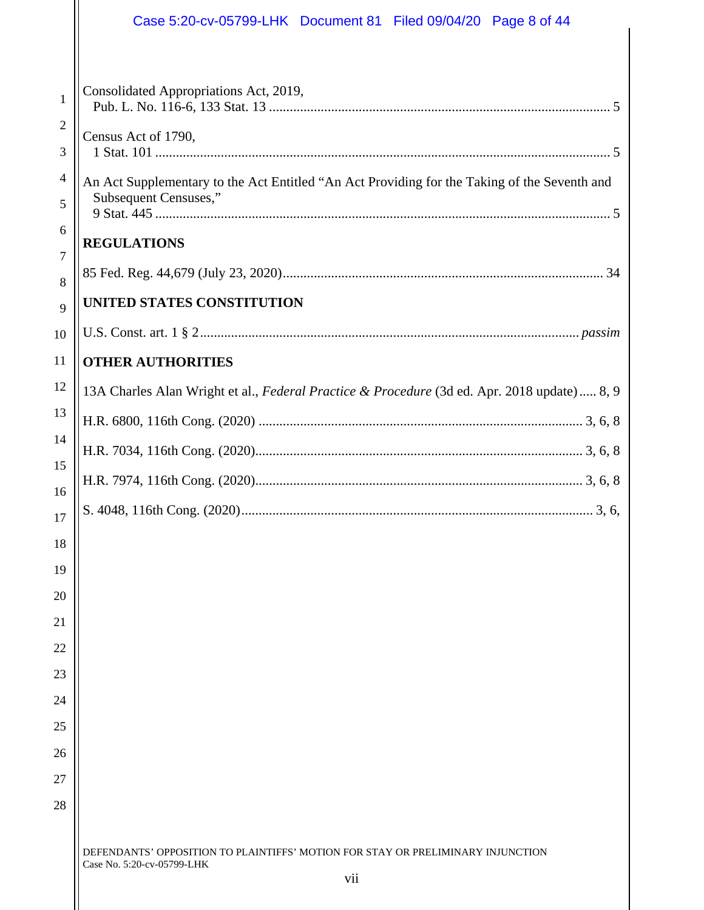|                     | Case 5:20-cv-05799-LHK Document 81 Filed 09/04/20 Page 8 of 44                                                        |
|---------------------|-----------------------------------------------------------------------------------------------------------------------|
| 1<br>2<br>3         | Consolidated Appropriations Act, 2019,<br>Census Act of 1790,                                                         |
| 4<br>5              | An Act Supplementary to the Act Entitled "An Act Providing for the Taking of the Seventh and<br>Subsequent Censuses," |
| 6<br>$\overline{7}$ | <b>REGULATIONS</b>                                                                                                    |
| 8                   |                                                                                                                       |
| 9                   | UNITED STATES CONSTITUTION                                                                                            |
| 10                  |                                                                                                                       |
| 11                  | <b>OTHER AUTHORITIES</b>                                                                                              |
| 12                  | 13A Charles Alan Wright et al., Federal Practice & Procedure (3d ed. Apr. 2018 update) 8, 9                           |
| 13                  |                                                                                                                       |
| 14                  |                                                                                                                       |
| 15                  |                                                                                                                       |
| 16<br>17            |                                                                                                                       |
| 18                  |                                                                                                                       |
| 19                  |                                                                                                                       |
| 20                  |                                                                                                                       |
| 21                  |                                                                                                                       |
| 22                  |                                                                                                                       |
| 23                  |                                                                                                                       |
| 24                  |                                                                                                                       |
| 25                  |                                                                                                                       |
| 26                  |                                                                                                                       |
| 27                  |                                                                                                                       |
| 28                  |                                                                                                                       |
|                     | DEFENDANTS' OPPOSITION TO PLAINTIFFS' MOTION FOR STAY OR PRELIMINARY INJUNCTION<br>Case No. 5:20-cv-05799-LHK         |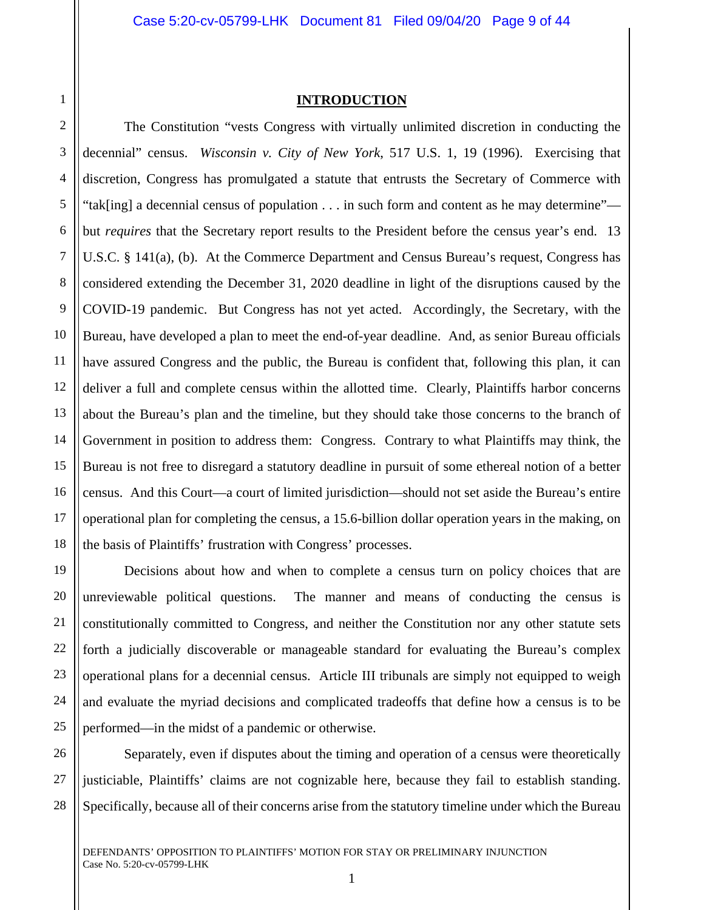13

14

15

16

17

18

19

20

21

22

23

24

25

### **INTRODUCTION**

 The Constitution "vests Congress with virtually unlimited discretion in conducting the decennial" census. *Wisconsin v. City of New York*, 517 U.S. 1, 19 (1996). Exercising that discretion, Congress has promulgated a statute that entrusts the Secretary of Commerce with "tak[ing] a decennial census of population . . . in such form and content as he may determine" but *requires* that the Secretary report results to the President before the census year's end. 13 U.S.C. § 141(a), (b). At the Commerce Department and Census Bureau's request, Congress has considered extending the December 31, 2020 deadline in light of the disruptions caused by the COVID-19 pandemic. But Congress has not yet acted. Accordingly, the Secretary, with the Bureau, have developed a plan to meet the end-of-year deadline. And, as senior Bureau officials have assured Congress and the public, the Bureau is confident that, following this plan, it can deliver a full and complete census within the allotted time. Clearly, Plaintiffs harbor concerns about the Bureau's plan and the timeline, but they should take those concerns to the branch of Government in position to address them: Congress. Contrary to what Plaintiffs may think, the Bureau is not free to disregard a statutory deadline in pursuit of some ethereal notion of a better census. And this Court—a court of limited jurisdiction—should not set aside the Bureau's entire operational plan for completing the census, a 15.6-billion dollar operation years in the making, on the basis of Plaintiffs' frustration with Congress' processes.

 Decisions about how and when to complete a census turn on policy choices that are unreviewable political questions. The manner and means of conducting the census is constitutionally committed to Congress, and neither the Constitution nor any other statute sets forth a judicially discoverable or manageable standard for evaluating the Bureau's complex operational plans for a decennial census. Article III tribunals are simply not equipped to weigh and evaluate the myriad decisions and complicated tradeoffs that define how a census is to be performed—in the midst of a pandemic or otherwise.

26 27 28 Separately, even if disputes about the timing and operation of a census were theoretically justiciable, Plaintiffs' claims are not cognizable here, because they fail to establish standing. Specifically, because all of their concerns arise from the statutory timeline under which the Bureau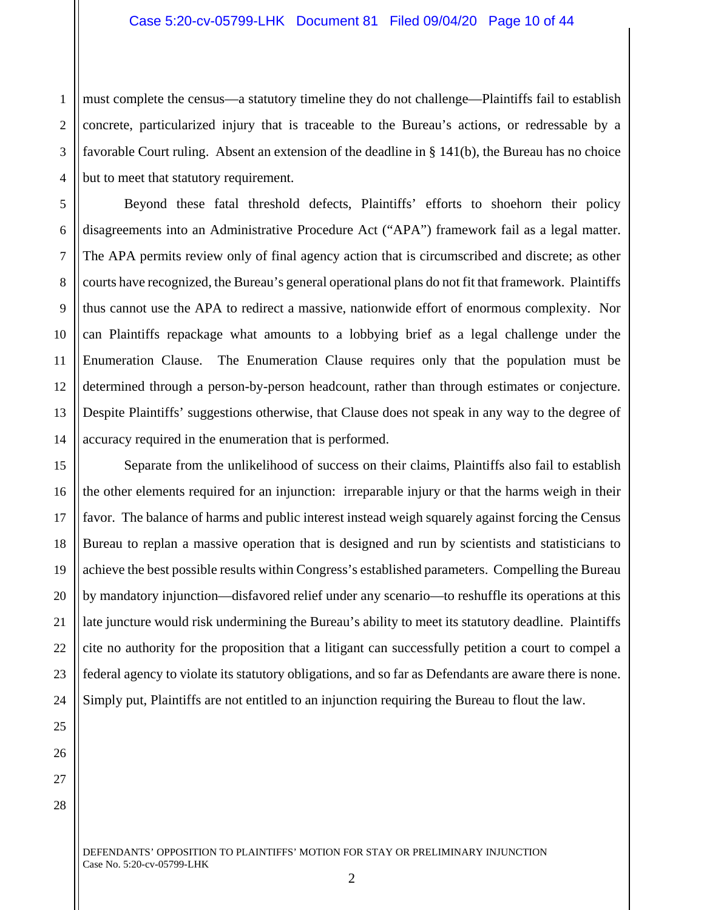1 2 3 4 must complete the census—a statutory timeline they do not challenge—Plaintiffs fail to establish concrete, particularized injury that is traceable to the Bureau's actions, or redressable by a favorable Court ruling. Absent an extension of the deadline in § 141(b), the Bureau has no choice but to meet that statutory requirement.

5 6 7 8 9 10 11 12 13 14 Beyond these fatal threshold defects, Plaintiffs' efforts to shoehorn their policy disagreements into an Administrative Procedure Act ("APA") framework fail as a legal matter. The APA permits review only of final agency action that is circumscribed and discrete; as other courts have recognized, the Bureau's general operational plans do not fit that framework. Plaintiffs thus cannot use the APA to redirect a massive, nationwide effort of enormous complexity. Nor can Plaintiffs repackage what amounts to a lobbying brief as a legal challenge under the Enumeration Clause. The Enumeration Clause requires only that the population must be determined through a person-by-person headcount, rather than through estimates or conjecture. Despite Plaintiffs' suggestions otherwise, that Clause does not speak in any way to the degree of accuracy required in the enumeration that is performed.

Separate from the unlikelihood of success on their claims, Plaintiffs also fail to establish the other elements required for an injunction: irreparable injury or that the harms weigh in their favor. The balance of harms and public interest instead weigh squarely against forcing the Census Bureau to replan a massive operation that is designed and run by scientists and statisticians to achieve the best possible results within Congress's established parameters. Compelling the Bureau by mandatory injunction—disfavored relief under any scenario—to reshuffle its operations at this late juncture would risk undermining the Bureau's ability to meet its statutory deadline. Plaintiffs cite no authority for the proposition that a litigant can successfully petition a court to compel a federal agency to violate its statutory obligations, and so far as Defendants are aware there is none. Simply put, Plaintiffs are not entitled to an injunction requiring the Bureau to flout the law.

28

15

16

17

18

19

20

21

22

23

24

25

26

27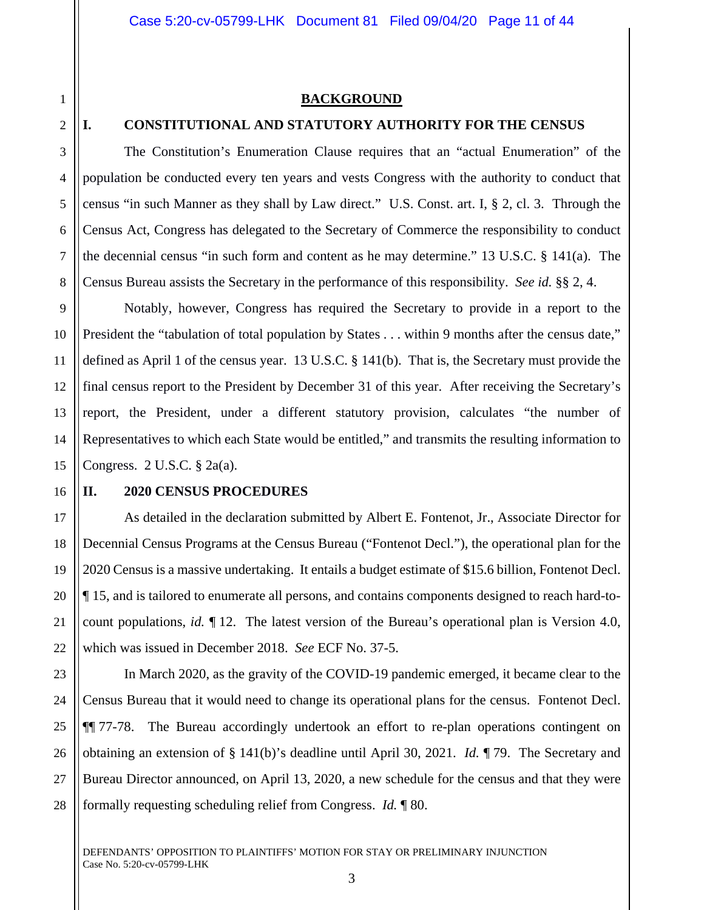1 2

3

4

5

6

7

8

### **BACKGROUND**

#### **I. CONSTITUTIONAL AND STATUTORY AUTHORITY FOR THE CENSUS**

 The Constitution's Enumeration Clause requires that an "actual Enumeration" of the population be conducted every ten years and vests Congress with the authority to conduct that census "in such Manner as they shall by Law direct." U.S. Const. art. I, § 2, cl. 3. Through the Census Act, Congress has delegated to the Secretary of Commerce the responsibility to conduct the decennial census "in such form and content as he may determine." 13 U.S.C. § 141(a). The Census Bureau assists the Secretary in the performance of this responsibility. *See id.* §§ 2, 4.

9 10 11 12 13 14 15 Notably, however, Congress has required the Secretary to provide in a report to the President the "tabulation of total population by States . . . within 9 months after the census date," defined as April 1 of the census year. 13 U.S.C. § 141(b). That is, the Secretary must provide the final census report to the President by December 31 of this year. After receiving the Secretary's report, the President, under a different statutory provision, calculates "the number of Representatives to which each State would be entitled," and transmits the resulting information to Congress. 2 U.S.C. § 2a(a).

#### 16

17

18

19

20

21

22

23

24

25

26

27

28

#### **II. 2020 CENSUS PROCEDURES**

As detailed in the declaration submitted by Albert E. Fontenot, Jr., Associate Director for Decennial Census Programs at the Census Bureau ("Fontenot Decl."), the operational plan for the 2020 Census is a massive undertaking. It entails a budget estimate of \$15.6 billion, Fontenot Decl. ¶ 15, and is tailored to enumerate all persons, and contains components designed to reach hard-tocount populations, *id.* ¶ 12. The latest version of the Bureau's operational plan is Version 4.0, which was issued in December 2018. *See* ECF No. 37-5.

In March 2020, as the gravity of the COVID-19 pandemic emerged, it became clear to the Census Bureau that it would need to change its operational plans for the census. Fontenot Decl. ¶¶ 77-78. The Bureau accordingly undertook an effort to re-plan operations contingent on obtaining an extension of § 141(b)'s deadline until April 30, 2021. *Id.* ¶ 79. The Secretary and Bureau Director announced, on April 13, 2020, a new schedule for the census and that they were formally requesting scheduling relief from Congress. *Id.* ¶ 80.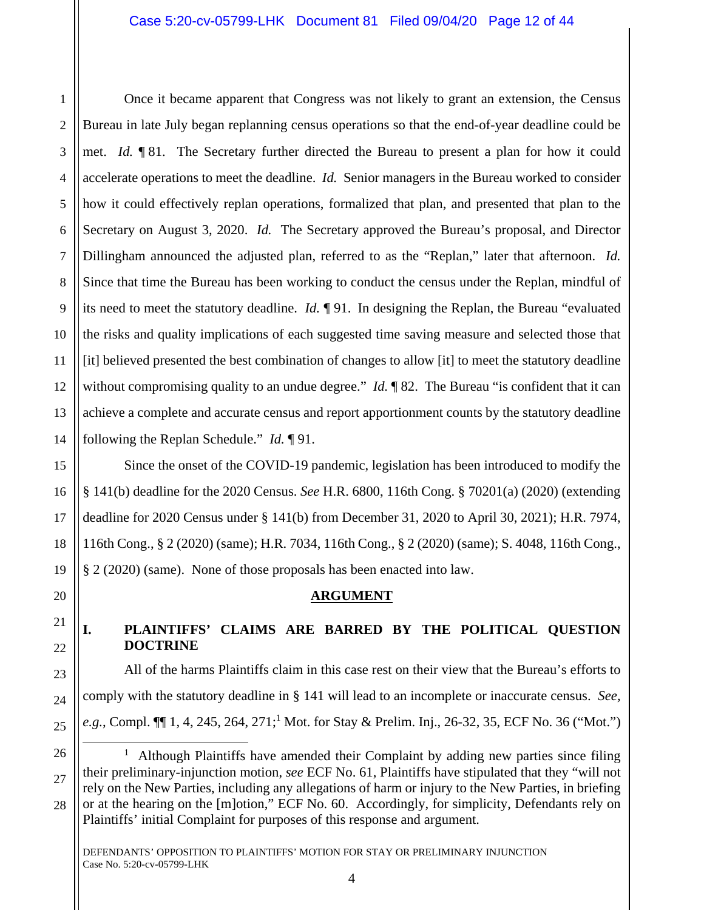Once it became apparent that Congress was not likely to grant an extension, the Census Bureau in late July began replanning census operations so that the end-of-year deadline could be met. *Id.* ¶ 81. The Secretary further directed the Bureau to present a plan for how it could accelerate operations to meet the deadline. *Id.* Senior managers in the Bureau worked to consider how it could effectively replan operations, formalized that plan, and presented that plan to the Secretary on August 3, 2020. *Id.* The Secretary approved the Bureau's proposal, and Director Dillingham announced the adjusted plan, referred to as the "Replan," later that afternoon. *Id.* Since that time the Bureau has been working to conduct the census under the Replan, mindful of its need to meet the statutory deadline. *Id.* ¶ 91. In designing the Replan, the Bureau "evaluated the risks and quality implications of each suggested time saving measure and selected those that [it] believed presented the best combination of changes to allow [it] to meet the statutory deadline without compromising quality to an undue degree." *Id.* 182. The Bureau "is confident that it can achieve a complete and accurate census and report apportionment counts by the statutory deadline following the Replan Schedule." *Id.* ¶ 91.

Since the onset of the COVID-19 pandemic, legislation has been introduced to modify the § 141(b) deadline for the 2020 Census. *See* H.R. 6800, 116th Cong. § 70201(a) (2020) (extending deadline for 2020 Census under § 141(b) from December 31, 2020 to April 30, 2021); H.R. 7974, 116th Cong., § 2 (2020) (same); H.R. 7034, 116th Cong., § 2 (2020) (same); S. 4048, 116th Cong., § 2 (2020) (same). None of those proposals has been enacted into law.

## **ARGUMENT**

## **I. PLAINTIFFS' CLAIMS ARE BARRED BY THE POLITICAL QUESTION DOCTRINE**

All of the harms Plaintiffs claim in this case rest on their view that the Bureau's efforts to comply with the statutory deadline in § 141 will lead to an incomplete or inaccurate census. *See,*  e.g., Compl.  $\P\P$  1, 4, 245, 264, 271;<sup>1</sup> Mot. for Stay & Prelim. Inj., 26-32, 35, ECF No. 36 ("Mot.")

÷

1

<sup>&</sup>lt;sup>1</sup> Although Plaintiffs have amended their Complaint by adding new parties since filing their preliminary-injunction motion, *see* ECF No. 61, Plaintiffs have stipulated that they "will not rely on the New Parties, including any allegations of harm or injury to the New Parties, in briefing or at the hearing on the [m]otion," ECF No. 60. Accordingly, for simplicity, Defendants rely on Plaintiffs' initial Complaint for purposes of this response and argument.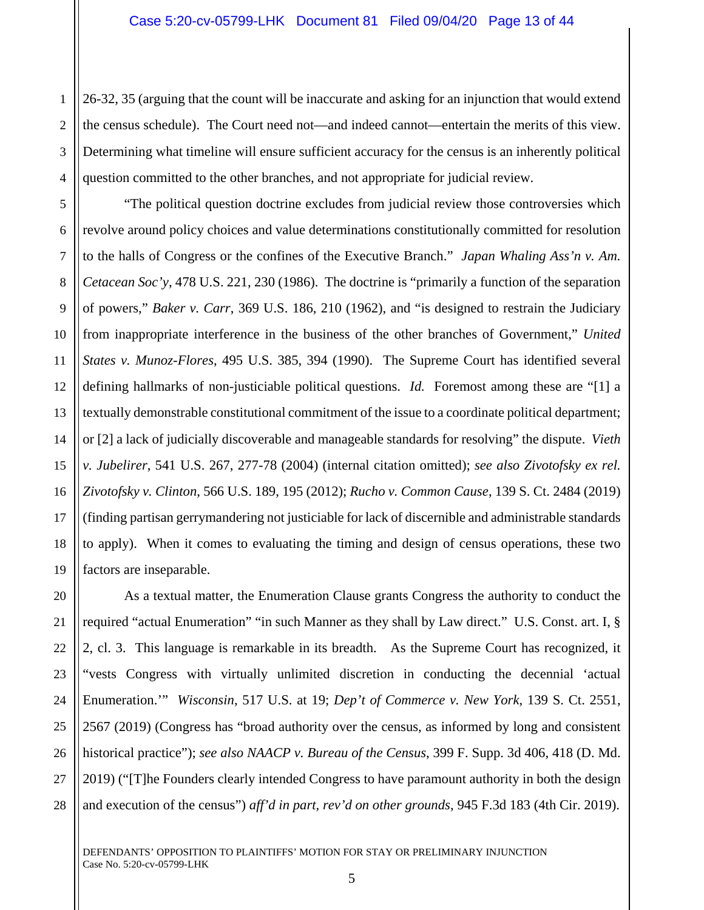2 26-32, 35 (arguing that the count will be inaccurate and asking for an injunction that would extend the census schedule). The Court need not—and indeed cannot—entertain the merits of this view. Determining what timeline will ensure sufficient accuracy for the census is an inherently political question committed to the other branches, and not appropriate for judicial review.

 "The political question doctrine excludes from judicial review those controversies which revolve around policy choices and value determinations constitutionally committed for resolution to the halls of Congress or the confines of the Executive Branch." *Japan Whaling Ass'n v. Am. Cetacean Soc'y*, 478 U.S. 221, 230 (1986). The doctrine is "primarily a function of the separation of powers," *Baker v. Carr*, 369 U.S. 186, 210 (1962), and "is designed to restrain the Judiciary from inappropriate interference in the business of the other branches of Government," *United States v. Munoz-Flores*, 495 U.S. 385, 394 (1990). The Supreme Court has identified several defining hallmarks of non-justiciable political questions. *Id.* Foremost among these are "[1] a textually demonstrable constitutional commitment of the issue to a coordinate political department; or [2] a lack of judicially discoverable and manageable standards for resolving" the dispute. *Vieth v. Jubelirer*, 541 U.S. 267, 277-78 (2004) (internal citation omitted); *see also Zivotofsky ex rel. Zivotofsky v. Clinton*, 566 U.S. 189, 195 (2012); *Rucho v. Common Cause*, 139 S. Ct. 2484 (2019) (finding partisan gerrymandering not justiciable for lack of discernible and administrable standards to apply). When it comes to evaluating the timing and design of census operations, these two factors are inseparable.

 As a textual matter, the Enumeration Clause grants Congress the authority to conduct the required "actual Enumeration" "in such Manner as they shall by Law direct." U.S. Const. art. I, § 2, cl. 3. This language is remarkable in its breadth. As the Supreme Court has recognized, it "vests Congress with virtually unlimited discretion in conducting the decennial 'actual Enumeration.'" *Wisconsin*, 517 U.S. at 19; *Dep't of Commerce v. New York*, 139 S. Ct. 2551, 2567 (2019) (Congress has "broad authority over the census, as informed by long and consistent historical practice"); *see also NAACP v. Bureau of the Census*, 399 F. Supp. 3d 406, 418 (D. Md. 2019) ("[T]he Founders clearly intended Congress to have paramount authority in both the design and execution of the census") *aff'd in part, rev'd on other grounds*, 945 F.3d 183 (4th Cir. 2019).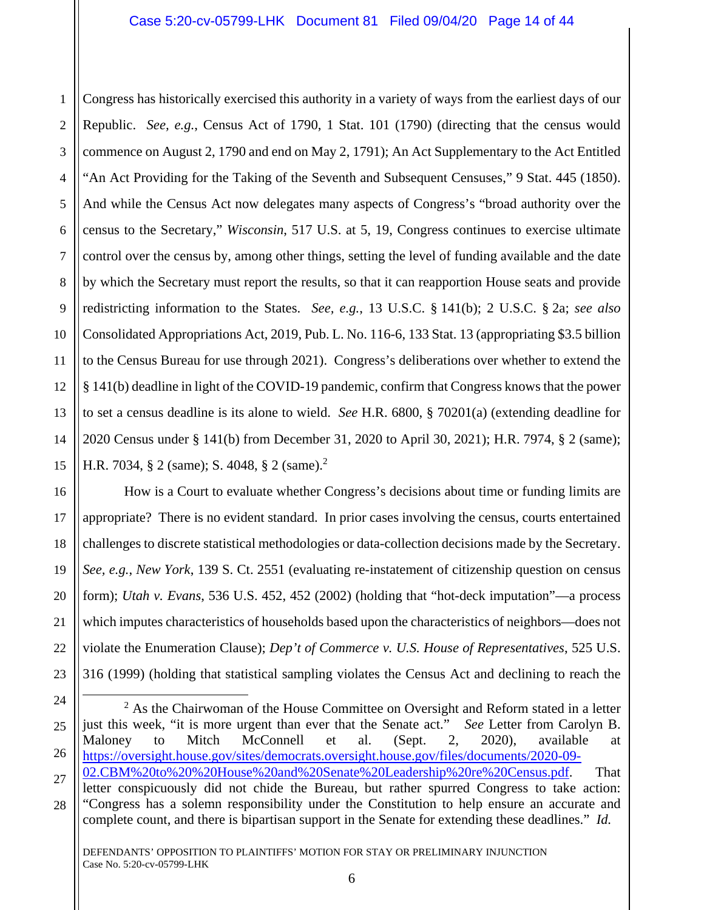1 2 3 4 5 6 7 8 9 10 11 12 13 14 15 Congress has historically exercised this authority in a variety of ways from the earliest days of our Republic. *See, e.g.*, Census Act of 1790, 1 Stat. 101 (1790) (directing that the census would commence on August 2, 1790 and end on May 2, 1791); An Act Supplementary to the Act Entitled "An Act Providing for the Taking of the Seventh and Subsequent Censuses," 9 Stat. 445 (1850). And while the Census Act now delegates many aspects of Congress's "broad authority over the census to the Secretary," *Wisconsin*, 517 U.S. at 5, 19, Congress continues to exercise ultimate control over the census by, among other things, setting the level of funding available and the date by which the Secretary must report the results, so that it can reapportion House seats and provide redistricting information to the States. *See, e.g.*, 13 U.S.C. § 141(b); 2 U.S.C. § 2a; *see also*  Consolidated Appropriations Act, 2019, Pub. L. No. 116-6, 133 Stat. 13 (appropriating \$3.5 billion to the Census Bureau for use through 2021). Congress's deliberations over whether to extend the § 141(b) deadline in light of the COVID-19 pandemic, confirm that Congress knows that the power to set a census deadline is its alone to wield. *See* H.R. 6800, § 70201(a) (extending deadline for 2020 Census under § 141(b) from December 31, 2020 to April 30, 2021); H.R. 7974, § 2 (same); H.R. 7034, § 2 (same); S. 4048, § 2 (same).<sup>2</sup>

 How is a Court to evaluate whether Congress's decisions about time or funding limits are appropriate? There is no evident standard. In prior cases involving the census, courts entertained challenges to discrete statistical methodologies or data-collection decisions made by the Secretary. *See, e.g.*, *New York*, 139 S. Ct. 2551 (evaluating re-instatement of citizenship question on census form); *Utah v. Evans*, 536 U.S. 452, 452 (2002) (holding that "hot-deck imputation"—a process which imputes characteristics of households based upon the characteristics of neighbors—does not violate the Enumeration Clause); *Dep't of Commerce v. U.S. House of Representatives*, 525 U.S. 316 (1999) (holding that statistical sampling violates the Census Act and declining to reach the

16

17

18

19

20

21

22

<sup>24</sup> 25 ÷  $2$  As the Chairwoman of the House Committee on Oversight and Reform stated in a letter just this week, "it is more urgent than ever that the Senate act." *See* Letter from Carolyn B. Maloney to Mitch McConnell et al. (Sept. 2, 2020), available at https://oversight.house.gov/sites/democrats.oversight.house.gov/files/documents/2020-09- 02.CBM%20to%20%20House%20and%20Senate%20Leadership%20re%20Census.pdf. That

letter conspicuously did not chide the Bureau, but rather spurred Congress to take action: "Congress has a solemn responsibility under the Constitution to help ensure an accurate and complete count, and there is bipartisan support in the Senate for extending these deadlines." *Id.*

<sup>28</sup>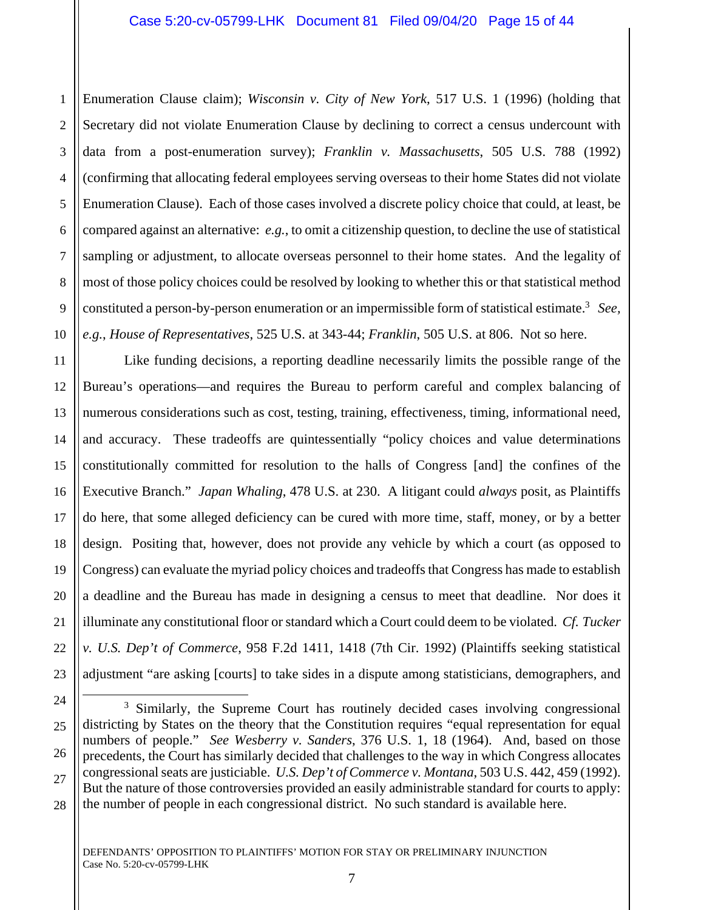#### Case 5:20-cv-05799-LHK Document 81 Filed 09/04/20 Page 15 of 44

1 2 3 4 5 6 7 8 9 10 Enumeration Clause claim); *Wisconsin v. City of New York*, 517 U.S. 1 (1996) (holding that Secretary did not violate Enumeration Clause by declining to correct a census undercount with data from a post-enumeration survey); *Franklin v. Massachusetts*, 505 U.S. 788 (1992) (confirming that allocating federal employees serving overseas to their home States did not violate Enumeration Clause). Each of those cases involved a discrete policy choice that could, at least, be compared against an alternative: *e.g.*, to omit a citizenship question, to decline the use of statistical sampling or adjustment, to allocate overseas personnel to their home states. And the legality of most of those policy choices could be resolved by looking to whether this or that statistical method constituted a person-by-person enumeration or an impermissible form of statistical estimate.3 *See, e.g.*, *House of Representatives*, 525 U.S. at 343-44; *Franklin*, 505 U.S. at 806. Not so here.

11 12 13 14 15 16 17 18 19 20 21 22 23 Like funding decisions, a reporting deadline necessarily limits the possible range of the Bureau's operations—and requires the Bureau to perform careful and complex balancing of numerous considerations such as cost, testing, training, effectiveness, timing, informational need, and accuracy. These tradeoffs are quintessentially "policy choices and value determinations constitutionally committed for resolution to the halls of Congress [and] the confines of the Executive Branch." *Japan Whaling*, 478 U.S. at 230. A litigant could *always* posit, as Plaintiffs do here, that some alleged deficiency can be cured with more time, staff, money, or by a better design. Positing that, however, does not provide any vehicle by which a court (as opposed to Congress) can evaluate the myriad policy choices and tradeoffs that Congress has made to establish a deadline and the Bureau has made in designing a census to meet that deadline. Nor does it illuminate any constitutional floor or standard which a Court could deem to be violated. *Cf. Tucker v. U.S. Dep't of Commerce*, 958 F.2d 1411, 1418 (7th Cir. 1992) (Plaintiffs seeking statistical adjustment "are asking [courts] to take sides in a dispute among statisticians, demographers, and

÷

<sup>24</sup> 25 26 27 28 <sup>3</sup> Similarly, the Supreme Court has routinely decided cases involving congressional districting by States on the theory that the Constitution requires "equal representation for equal numbers of people." *See Wesberry v. Sanders*, 376 U.S. 1, 18 (1964). And, based on those precedents, the Court has similarly decided that challenges to the way in which Congress allocates congressional seats are justiciable. *U.S. Dep't of Commerce v. Montana*, 503 U.S. 442, 459 (1992). But the nature of those controversies provided an easily administrable standard for courts to apply: the number of people in each congressional district. No such standard is available here.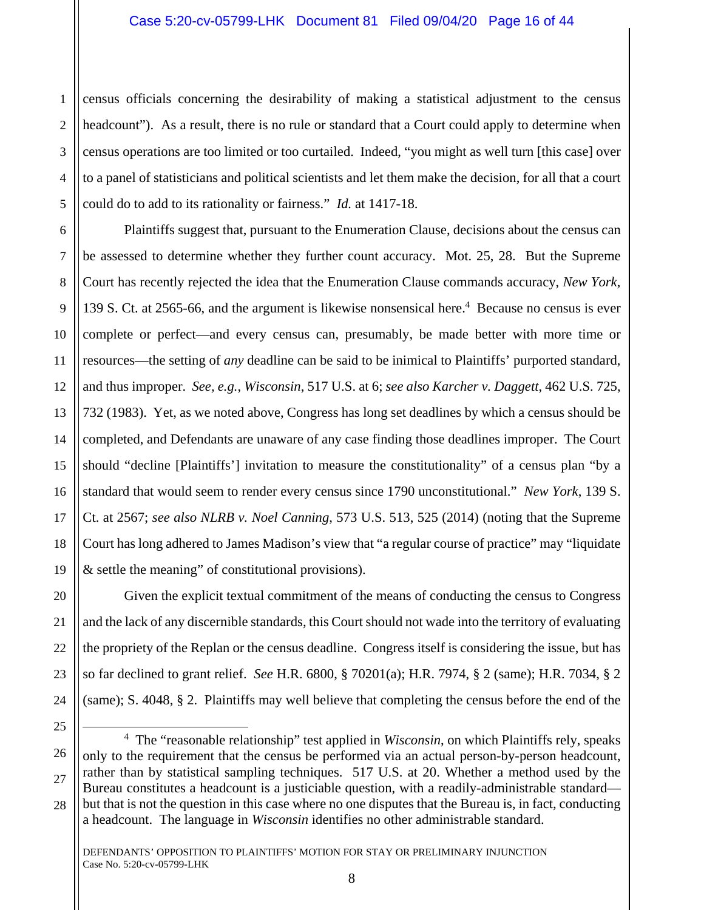1 2 3 census officials concerning the desirability of making a statistical adjustment to the census headcount"). As a result, there is no rule or standard that a Court could apply to determine when census operations are too limited or too curtailed. Indeed, "you might as well turn [this case] over to a panel of statisticians and political scientists and let them make the decision, for all that a court could do to add to its rationality or fairness." *Id.* at 1417-18.

 Plaintiffs suggest that, pursuant to the Enumeration Clause, decisions about the census can be assessed to determine whether they further count accuracy. Mot. 25, 28. But the Supreme Court has recently rejected the idea that the Enumeration Clause commands accuracy, *New York*, 139 S. Ct. at 2565-66, and the argument is likewise nonsensical here.<sup>4</sup> Because no census is ever complete or perfect—and every census can, presumably, be made better with more time or resources—the setting of *any* deadline can be said to be inimical to Plaintiffs' purported standard, and thus improper. *See, e.g.*, *Wisconsin*, 517 U.S. at 6; *see also Karcher v. Daggett*, 462 U.S. 725, 732 (1983). Yet, as we noted above, Congress has long set deadlines by which a census should be completed, and Defendants are unaware of any case finding those deadlines improper. The Court should "decline [Plaintiffs'] invitation to measure the constitutionality" of a census plan "by a standard that would seem to render every census since 1790 unconstitutional." *New York*, 139 S. Ct. at 2567; *see also NLRB v. Noel Canning*, 573 U.S. 513, 525 (2014) (noting that the Supreme Court has long adhered to James Madison's view that "a regular course of practice" may "liquidate & settle the meaning" of constitutional provisions).

Given the explicit textual commitment of the means of conducting the census to Congress and the lack of any discernible standards, this Court should not wade into the territory of evaluating the propriety of the Replan or the census deadline. Congress itself is considering the issue, but has so far declined to grant relief. *See* H.R. 6800, § 70201(a); H.R. 7974, § 2 (same); H.R. 7034, § 2 (same); S. 4048, § 2. Plaintiffs may well believe that completing the census before the end of the

÷

<sup>4</sup> The "reasonable relationship" test applied in *Wisconsin*, on which Plaintiffs rely, speaks only to the requirement that the census be performed via an actual person-by-person headcount, rather than by statistical sampling techniques. 517 U.S. at 20. Whether a method used by the Bureau constitutes a headcount is a justiciable question, with a readily-administrable standard but that is not the question in this case where no one disputes that the Bureau is, in fact, conducting a headcount. The language in *Wisconsin* identifies no other administrable standard.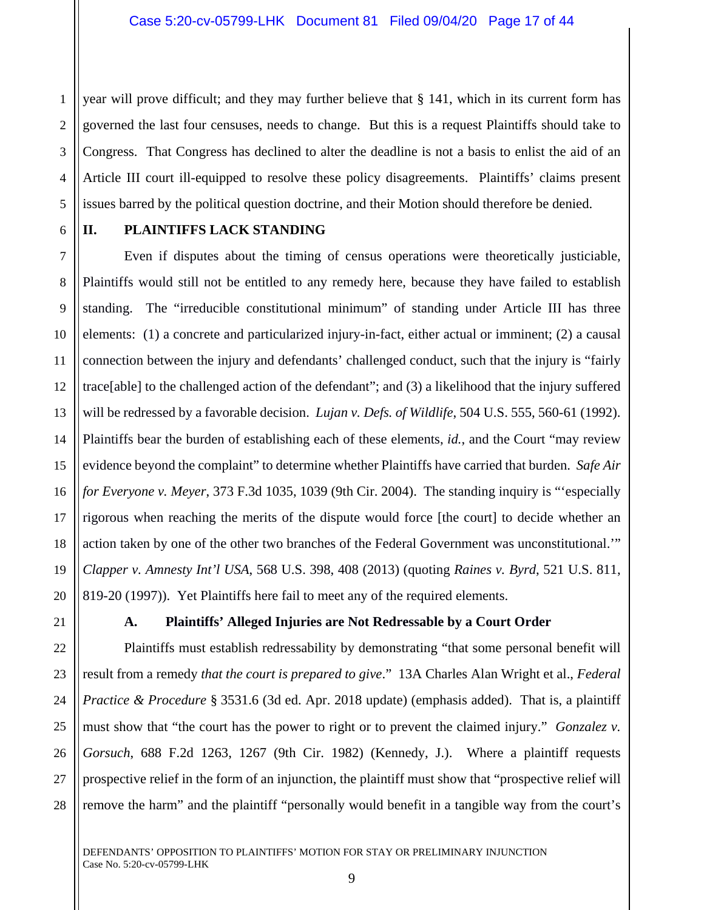1 2 3 4 5 year will prove difficult; and they may further believe that § 141, which in its current form has governed the last four censuses, needs to change. But this is a request Plaintiffs should take to Congress. That Congress has declined to alter the deadline is not a basis to enlist the aid of an Article III court ill-equipped to resolve these policy disagreements. Plaintiffs' claims present issues barred by the political question doctrine, and their Motion should therefore be denied.

## 6 7

8

9

10

11

12

13

14

15

16

17

18

19

20

21

22

23

24

25

26

27

28

## **II. PLAINTIFFS LACK STANDING**

 Even if disputes about the timing of census operations were theoretically justiciable, Plaintiffs would still not be entitled to any remedy here, because they have failed to establish standing. The "irreducible constitutional minimum" of standing under Article III has three elements: (1) a concrete and particularized injury-in-fact, either actual or imminent; (2) a causal connection between the injury and defendants' challenged conduct, such that the injury is "fairly trace[able] to the challenged action of the defendant"; and (3) a likelihood that the injury suffered will be redressed by a favorable decision. *Lujan v. Defs. of Wildlife*, 504 U.S. 555, 560-61 (1992). Plaintiffs bear the burden of establishing each of these elements, *id.*, and the Court "may review evidence beyond the complaint" to determine whether Plaintiffs have carried that burden. *Safe Air for Everyone v. Meyer*, 373 F.3d 1035, 1039 (9th Cir. 2004). The standing inquiry is "'especially rigorous when reaching the merits of the dispute would force [the court] to decide whether an action taken by one of the other two branches of the Federal Government was unconstitutional.'" *Clapper v. Amnesty Int'l USA*, 568 U.S. 398, 408 (2013) (quoting *Raines v. Byrd*, 521 U.S. 811, 819-20 (1997)). Yet Plaintiffs here fail to meet any of the required elements.

## **A. Plaintiffs' Alleged Injuries are Not Redressable by a Court Order**

 Plaintiffs must establish redressability by demonstrating "that some personal benefit will result from a remedy *that the court is prepared to give*." 13A Charles Alan Wright et al., *Federal Practice & Procedure* § 3531.6 (3d ed. Apr. 2018 update) (emphasis added). That is, a plaintiff must show that "the court has the power to right or to prevent the claimed injury." *Gonzalez v. Gorsuch*, 688 F.2d 1263, 1267 (9th Cir. 1982) (Kennedy, J.). Where a plaintiff requests prospective relief in the form of an injunction, the plaintiff must show that "prospective relief will remove the harm" and the plaintiff "personally would benefit in a tangible way from the court's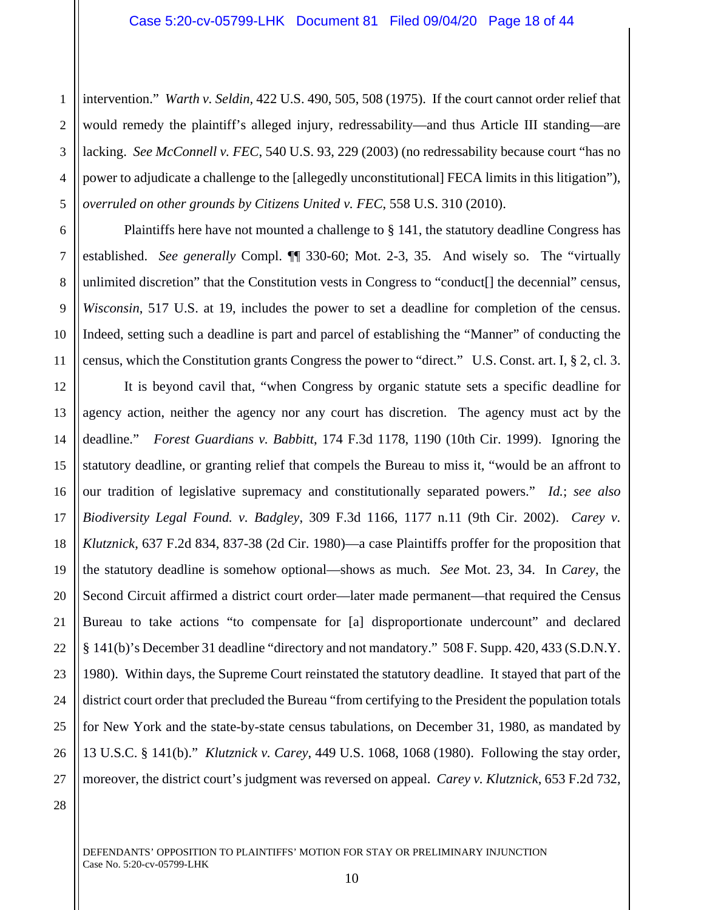1 2 3 4 5 intervention." *Warth v. Seldin,* 422 U.S. 490, 505, 508 (1975). If the court cannot order relief that would remedy the plaintiff's alleged injury, redressability—and thus Article III standing—are lacking. *See McConnell v. FEC*, 540 U.S. 93, 229 (2003) (no redressability because court "has no power to adjudicate a challenge to the [allegedly unconstitutional] FECA limits in this litigation"), *overruled on other grounds by Citizens United v. FEC*, 558 U.S. 310 (2010).

Plaintiffs here have not mounted a challenge to § 141, the statutory deadline Congress has established. *See generally* Compl. ¶¶ 330-60; Mot. 2-3, 35. And wisely so. The "virtually unlimited discretion" that the Constitution vests in Congress to "conduct[] the decennial" census, *Wisconsin*, 517 U.S. at 19, includes the power to set a deadline for completion of the census. Indeed, setting such a deadline is part and parcel of establishing the "Manner" of conducting the census, which the Constitution grants Congress the power to "direct." U.S. Const. art. I, § 2, cl. 3.

12 13 14 15 16 18 19 20 21 22 23 24 25 26 27 It is beyond cavil that, "when Congress by organic statute sets a specific deadline for agency action, neither the agency nor any court has discretion. The agency must act by the deadline." *Forest Guardians v. Babbitt*, 174 F.3d 1178, 1190 (10th Cir. 1999). Ignoring the statutory deadline, or granting relief that compels the Bureau to miss it, "would be an affront to our tradition of legislative supremacy and constitutionally separated powers." *Id.*; *see also Biodiversity Legal Found. v. Badgley*, 309 F.3d 1166, 1177 n.11 (9th Cir. 2002). *Carey v. Klutznick*, 637 F.2d 834, 837-38 (2d Cir. 1980)—a case Plaintiffs proffer for the proposition that the statutory deadline is somehow optional—shows as much. *See* Mot. 23, 34. In *Carey*, the Second Circuit affirmed a district court order—later made permanent—that required the Census Bureau to take actions "to compensate for [a] disproportionate undercount" and declared § 141(b)'s December 31 deadline "directory and not mandatory." 508 F. Supp. 420, 433 (S.D.N.Y. 1980). Within days, the Supreme Court reinstated the statutory deadline. It stayed that part of the district court order that precluded the Bureau "from certifying to the President the population totals for New York and the state-by-state census tabulations, on December 31, 1980, as mandated by 13 U.S.C. § 141(b)." *Klutznick v. Carey*, 449 U.S. 1068, 1068 (1980). Following the stay order, moreover, the district court's judgment was reversed on appeal. *Carey v. Klutznick*, 653 F.2d 732,

28

6

7

8

9

10

11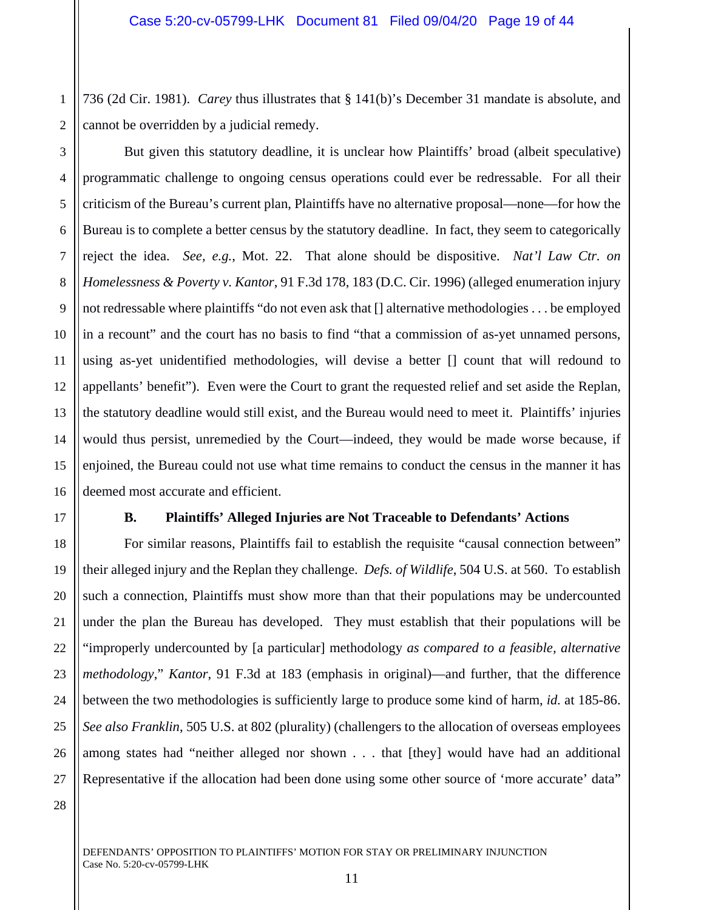1 2 736 (2d Cir. 1981). *Carey* thus illustrates that § 141(b)'s December 31 mandate is absolute, and cannot be overridden by a judicial remedy.

3 4 5 6 7 8 9 10 11 12 13 14 15 16 But given this statutory deadline, it is unclear how Plaintiffs' broad (albeit speculative) programmatic challenge to ongoing census operations could ever be redressable. For all their criticism of the Bureau's current plan, Plaintiffs have no alternative proposal—none—for how the Bureau is to complete a better census by the statutory deadline. In fact, they seem to categorically reject the idea. *See, e.g.*, Mot. 22. That alone should be dispositive. *Nat'l Law Ctr. on Homelessness & Poverty v. Kantor*, 91 F.3d 178, 183 (D.C. Cir. 1996) (alleged enumeration injury not redressable where plaintiffs "do not even ask that [] alternative methodologies . . . be employed in a recount" and the court has no basis to find "that a commission of as-yet unnamed persons, using as-yet unidentified methodologies, will devise a better [] count that will redound to appellants' benefit"). Even were the Court to grant the requested relief and set aside the Replan, the statutory deadline would still exist, and the Bureau would need to meet it. Plaintiffs' injuries would thus persist, unremedied by the Court—indeed, they would be made worse because, if enjoined, the Bureau could not use what time remains to conduct the census in the manner it has deemed most accurate and efficient.

## **B. Plaintiffs' Alleged Injuries are Not Traceable to Defendants' Actions**

For similar reasons, Plaintiffs fail to establish the requisite "causal connection between" their alleged injury and the Replan they challenge. *Defs. of Wildlife*, 504 U.S. at 560. To establish such a connection, Plaintiffs must show more than that their populations may be undercounted under the plan the Bureau has developed. They must establish that their populations will be "improperly undercounted by [a particular] methodology *as compared to a feasible, alternative methodology*," *Kantor*, 91 F.3d at 183 (emphasis in original)—and further, that the difference between the two methodologies is sufficiently large to produce some kind of harm, *id.* at 185-86. *See also Franklin*, 505 U.S. at 802 (plurality) (challengers to the allocation of overseas employees among states had "neither alleged nor shown . . . that [they] would have had an additional Representative if the allocation had been done using some other source of 'more accurate' data"

17

18

19

20

21

22

23

24

25

26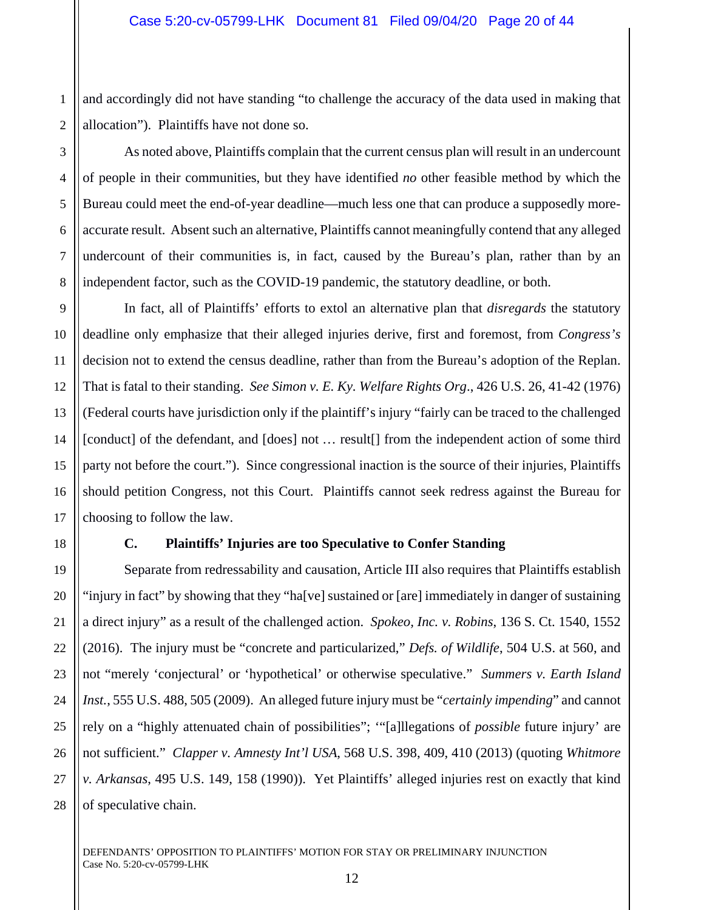1 2 and accordingly did not have standing "to challenge the accuracy of the data used in making that allocation"). Plaintiffs have not done so.

As noted above, Plaintiffs complain that the current census plan will result in an undercount of people in their communities, but they have identified *no* other feasible method by which the Bureau could meet the end-of-year deadline—much less one that can produce a supposedly moreaccurate result. Absent such an alternative, Plaintiffs cannot meaningfully contend that any alleged undercount of their communities is, in fact, caused by the Bureau's plan, rather than by an independent factor, such as the COVID-19 pandemic, the statutory deadline, or both.

In fact, all of Plaintiffs' efforts to extol an alternative plan that *disregards* the statutory deadline only emphasize that their alleged injuries derive, first and foremost, from *Congress's*  decision not to extend the census deadline, rather than from the Bureau's adoption of the Replan. That is fatal to their standing. *See Simon v. E. Ky. Welfare Rights Org*., 426 U.S. 26, 41-42 (1976) (Federal courts have jurisdiction only if the plaintiff's injury "fairly can be traced to the challenged [conduct] of the defendant, and [does] not … result[] from the independent action of some third party not before the court."). Since congressional inaction is the source of their injuries, Plaintiffs should petition Congress, not this Court. Plaintiffs cannot seek redress against the Bureau for choosing to follow the law.

3

4

5

6

7

8

9

10

11

12

13

14

15

16

17

18

19

20

21

22

23

24

25

26

27

28

## **C. Plaintiffs' Injuries are too Speculative to Confer Standing**

Separate from redressability and causation, Article III also requires that Plaintiffs establish "injury in fact" by showing that they "ha[ve] sustained or [are] immediately in danger of sustaining a direct injury" as a result of the challenged action. *Spokeo, Inc. v. Robins*, 136 S. Ct. 1540, 1552 (2016). The injury must be "concrete and particularized," *Defs. of Wildlife*, 504 U.S. at 560, and not "merely 'conjectural' or 'hypothetical' or otherwise speculative." *Summers v. Earth Island Inst.*, 555 U.S. 488, 505 (2009). An alleged future injury must be "*certainly impending*" and cannot rely on a "highly attenuated chain of possibilities"; '"[a]llegations of *possible* future injury' are not sufficient." *Clapper v. Amnesty Int'l USA*, 568 U.S. 398, 409, 410 (2013) (quoting *Whitmore v. Arkansas*, 495 U.S. 149, 158 (1990)). Yet Plaintiffs' alleged injuries rest on exactly that kind of speculative chain.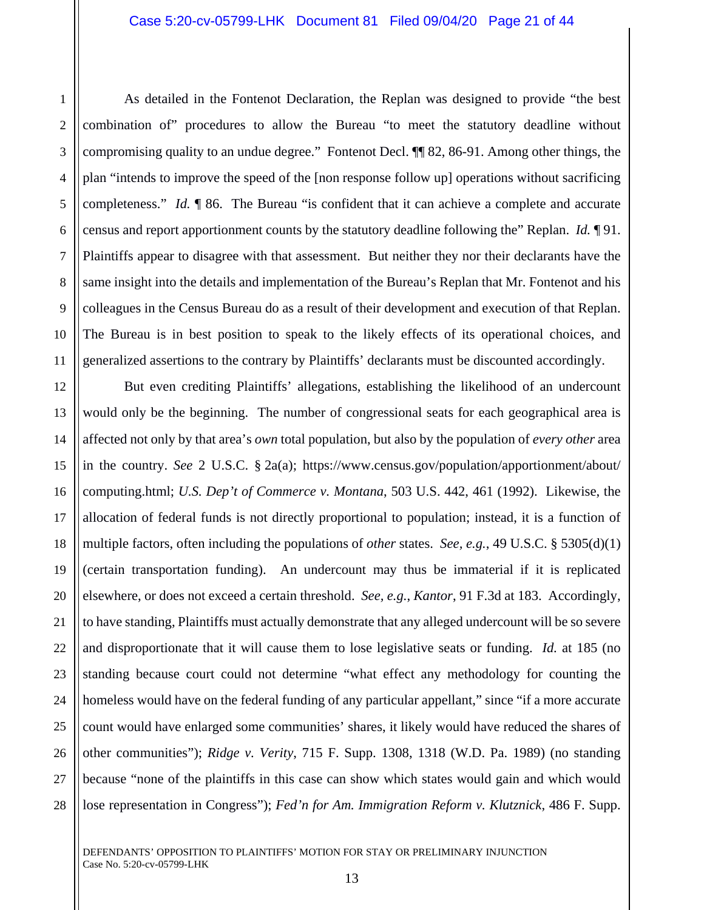#### Case 5:20-cv-05799-LHK Document 81 Filed 09/04/20 Page 21 of 44

As detailed in the Fontenot Declaration, the Replan was designed to provide "the best combination of" procedures to allow the Bureau "to meet the statutory deadline without compromising quality to an undue degree." Fontenot Decl. ¶¶ 82, 86-91. Among other things, the plan "intends to improve the speed of the [non response follow up] operations without sacrificing completeness." *Id.* ¶ 86. The Bureau "is confident that it can achieve a complete and accurate census and report apportionment counts by the statutory deadline following the" Replan. *Id.* ¶ 91. Plaintiffs appear to disagree with that assessment. But neither they nor their declarants have the same insight into the details and implementation of the Bureau's Replan that Mr. Fontenot and his colleagues in the Census Bureau do as a result of their development and execution of that Replan. The Bureau is in best position to speak to the likely effects of its operational choices, and generalized assertions to the contrary by Plaintiffs' declarants must be discounted accordingly.

25 26 27 28 But even crediting Plaintiffs' allegations, establishing the likelihood of an undercount would only be the beginning. The number of congressional seats for each geographical area is affected not only by that area's *own* total population, but also by the population of *every other* area in the country. *See* 2 U.S.C. § 2a(a); https://www.census.gov/population/apportionment/about/ computing.html; *U.S. Dep't of Commerce v. Montana*, 503 U.S. 442, 461 (1992). Likewise, the allocation of federal funds is not directly proportional to population; instead, it is a function of multiple factors, often including the populations of *other* states. *See, e.g.*, 49 U.S.C. § 5305(d)(1) (certain transportation funding). An undercount may thus be immaterial if it is replicated elsewhere, or does not exceed a certain threshold. *See, e.g.*, *Kantor*, 91 F.3d at 183. Accordingly, to have standing, Plaintiffs must actually demonstrate that any alleged undercount will be so severe and disproportionate that it will cause them to lose legislative seats or funding. *Id.* at 185 (no standing because court could not determine "what effect any methodology for counting the homeless would have on the federal funding of any particular appellant," since "if a more accurate count would have enlarged some communities' shares, it likely would have reduced the shares of other communities"); *Ridge v. Verity*, 715 F. Supp. 1308, 1318 (W.D. Pa. 1989) (no standing because "none of the plaintiffs in this case can show which states would gain and which would lose representation in Congress"); *Fed'n for Am. Immigration Reform v. Klutznick*, 486 F. Supp.

1

2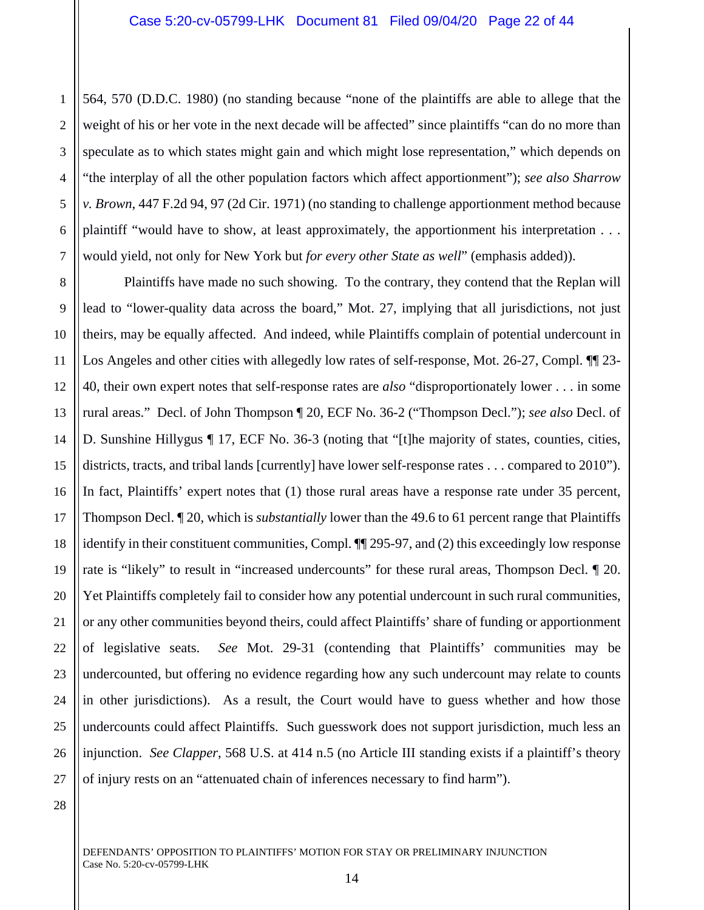1 2 3 4 5 6 7 564, 570 (D.D.C. 1980) (no standing because "none of the plaintiffs are able to allege that the weight of his or her vote in the next decade will be affected" since plaintiffs "can do no more than speculate as to which states might gain and which might lose representation," which depends on "the interplay of all the other population factors which affect apportionment"); *see also Sharrow v. Brown*, 447 F.2d 94, 97 (2d Cir. 1971) (no standing to challenge apportionment method because plaintiff "would have to show, at least approximately, the apportionment his interpretation . . . would yield, not only for New York but *for every other State as well*" (emphasis added)).

8 9 10 11 12 13 14 15 16 17 18 19 20 21 22 23 24 25 26 27 Plaintiffs have made no such showing. To the contrary, they contend that the Replan will lead to "lower-quality data across the board," Mot. 27, implying that all jurisdictions, not just theirs, may be equally affected. And indeed, while Plaintiffs complain of potential undercount in Los Angeles and other cities with allegedly low rates of self-response, Mot. 26-27, Compl.  $\P$  23-40, their own expert notes that self-response rates are *also* "disproportionately lower . . . in some rural areas." Decl. of John Thompson ¶ 20, ECF No. 36-2 ("Thompson Decl."); *see also* Decl. of D. Sunshine Hillygus ¶ 17, ECF No. 36-3 (noting that "[t]he majority of states, counties, cities, districts, tracts, and tribal lands [currently] have lower self-response rates . . . compared to 2010"). In fact, Plaintiffs' expert notes that (1) those rural areas have a response rate under 35 percent, Thompson Decl. ¶ 20, which is *substantially* lower than the 49.6 to 61 percent range that Plaintiffs identify in their constituent communities, Compl. ¶¶ 295-97, and (2) this exceedingly low response rate is "likely" to result in "increased undercounts" for these rural areas, Thompson Decl.  $\llbracket 20$ . Yet Plaintiffs completely fail to consider how any potential undercount in such rural communities, or any other communities beyond theirs, could affect Plaintiffs' share of funding or apportionment of legislative seats. *See* Mot. 29-31 (contending that Plaintiffs' communities may be undercounted, but offering no evidence regarding how any such undercount may relate to counts in other jurisdictions). As a result, the Court would have to guess whether and how those undercounts could affect Plaintiffs. Such guesswork does not support jurisdiction, much less an injunction. *See Clapper*, 568 U.S. at 414 n.5 (no Article III standing exists if a plaintiff's theory of injury rests on an "attenuated chain of inferences necessary to find harm").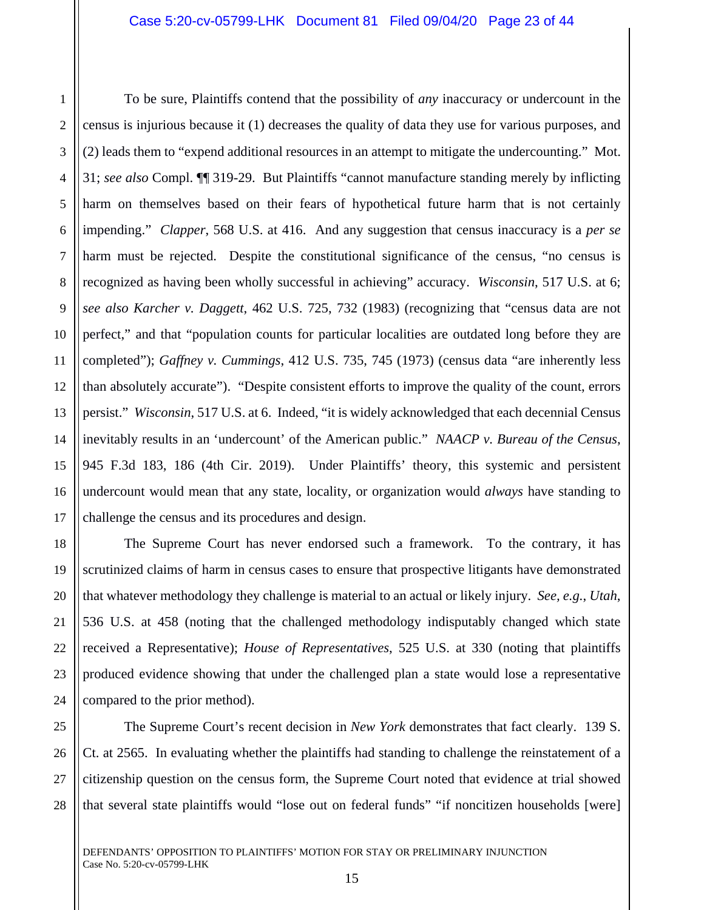2 To be sure, Plaintiffs contend that the possibility of *any* inaccuracy or undercount in the census is injurious because it (1) decreases the quality of data they use for various purposes, and (2) leads them to "expend additional resources in an attempt to mitigate the undercounting." Mot. 31; *see also* Compl. ¶¶ 319-29. But Plaintiffs "cannot manufacture standing merely by inflicting harm on themselves based on their fears of hypothetical future harm that is not certainly impending." *Clapper*, 568 U.S. at 416. And any suggestion that census inaccuracy is a *per se*  harm must be rejected. Despite the constitutional significance of the census, "no census is recognized as having been wholly successful in achieving" accuracy. *Wisconsin*, 517 U.S. at 6; *see also Karcher v. Daggett*, 462 U.S. 725, 732 (1983) (recognizing that "census data are not perfect," and that "population counts for particular localities are outdated long before they are completed"); *Gaffney v. Cummings*, 412 U.S. 735, 745 (1973) (census data "are inherently less than absolutely accurate"). "Despite consistent efforts to improve the quality of the count, errors persist." *Wisconsin*, 517 U.S. at 6. Indeed, "it is widely acknowledged that each decennial Census inevitably results in an 'undercount' of the American public." *NAACP v. Bureau of the Census*, 945 F.3d 183, 186 (4th Cir. 2019). Under Plaintiffs' theory, this systemic and persistent undercount would mean that any state, locality, or organization would *always* have standing to challenge the census and its procedures and design.

The Supreme Court has never endorsed such a framework. To the contrary, it has scrutinized claims of harm in census cases to ensure that prospective litigants have demonstrated that whatever methodology they challenge is material to an actual or likely injury. *See, e.g.*, *Utah*, 536 U.S. at 458 (noting that the challenged methodology indisputably changed which state received a Representative); *House of Representatives*, 525 U.S. at 330 (noting that plaintiffs produced evidence showing that under the challenged plan a state would lose a representative compared to the prior method).

28 The Supreme Court's recent decision in *New York* demonstrates that fact clearly. 139 S. Ct. at 2565. In evaluating whether the plaintiffs had standing to challenge the reinstatement of a citizenship question on the census form, the Supreme Court noted that evidence at trial showed that several state plaintiffs would "lose out on federal funds" "if noncitizen households [were]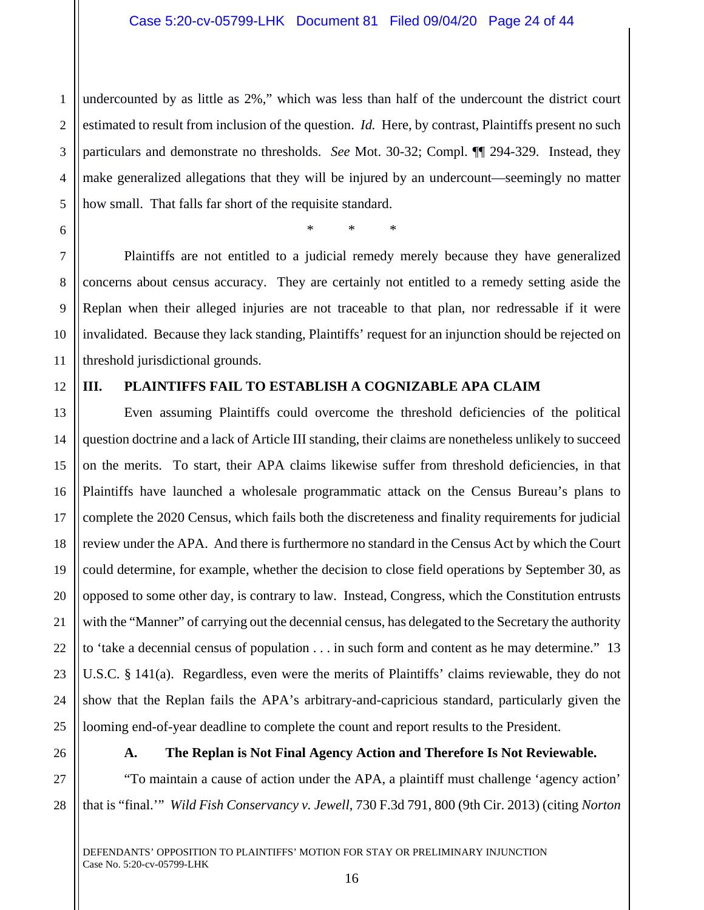1 2 3 4 5 undercounted by as little as 2%," which was less than half of the undercount the district court estimated to result from inclusion of the question. *Id.* Here, by contrast, Plaintiffs present no such particulars and demonstrate no thresholds. *See* Mot. 30-32; Compl. ¶¶ 294-329. Instead, they make generalized allegations that they will be injured by an undercount—seemingly no matter how small. That falls far short of the requisite standard.

\* \* \*

 Plaintiffs are not entitled to a judicial remedy merely because they have generalized concerns about census accuracy. They are certainly not entitled to a remedy setting aside the Replan when their alleged injuries are not traceable to that plan, nor redressable if it were invalidated. Because they lack standing, Plaintiffs' request for an injunction should be rejected on threshold jurisdictional grounds.

## 12

6

7

8

9

10

11

13

14

15

16

17

18

20

21

23

24

25

## **III. PLAINTIFFS FAIL TO ESTABLISH A COGNIZABLE APA CLAIM**

19 22 Even assuming Plaintiffs could overcome the threshold deficiencies of the political question doctrine and a lack of Article III standing, their claims are nonetheless unlikely to succeed on the merits. To start, their APA claims likewise suffer from threshold deficiencies, in that Plaintiffs have launched a wholesale programmatic attack on the Census Bureau's plans to complete the 2020 Census, which fails both the discreteness and finality requirements for judicial review under the APA. And there is furthermore no standard in the Census Act by which the Court could determine, for example, whether the decision to close field operations by September 30, as opposed to some other day, is contrary to law. Instead, Congress, which the Constitution entrusts with the "Manner" of carrying out the decennial census, has delegated to the Secretary the authority to 'take a decennial census of population . . . in such form and content as he may determine." 13 U.S.C. § 141(a). Regardless, even were the merits of Plaintiffs' claims reviewable, they do not show that the Replan fails the APA's arbitrary-and-capricious standard, particularly given the looming end-of-year deadline to complete the count and report results to the President.

26

## **A. The Replan is Not Final Agency Action and Therefore Is Not Reviewable.**

27 28 "To maintain a cause of action under the APA, a plaintiff must challenge 'agency action' that is "final.'" *Wild Fish Conservancy v. Jewell*, 730 F.3d 791, 800 (9th Cir. 2013) (citing *Norton*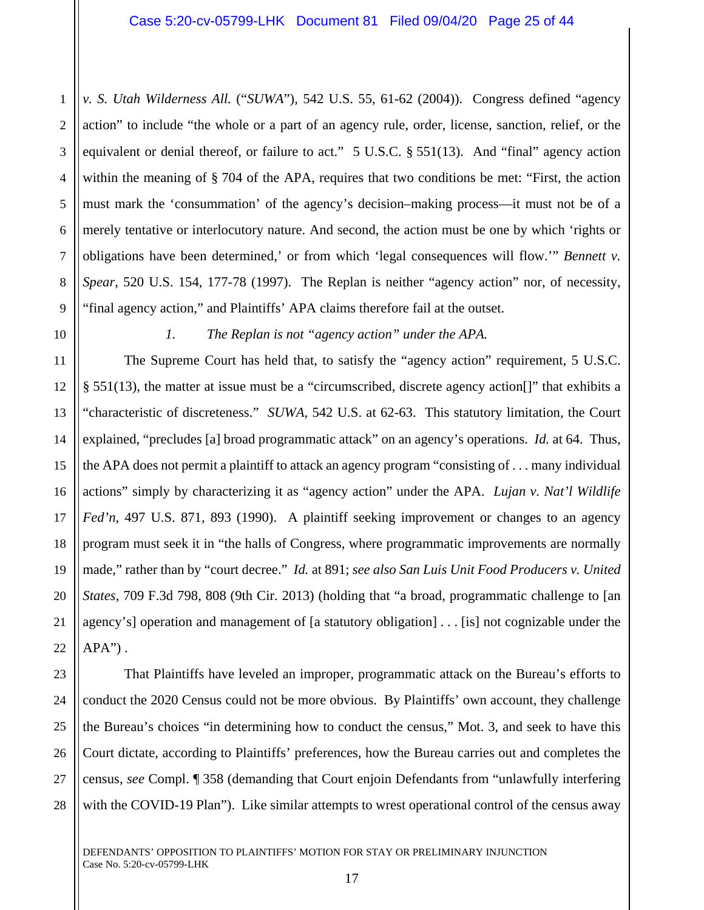1 2 3 4 5 6 7 8 *v. S. Utah Wilderness All.* ("*SUWA*"), 542 U.S. 55, 61-62 (2004)). Congress defined "agency action" to include "the whole or a part of an agency rule, order, license, sanction, relief, or the equivalent or denial thereof, or failure to act." 5 U.S.C. § 551(13). And "final" agency action within the meaning of § 704 of the APA, requires that two conditions be met: "First, the action must mark the 'consummation' of the agency's decision–making process—it must not be of a merely tentative or interlocutory nature. And second, the action must be one by which 'rights or obligations have been determined,' or from which 'legal consequences will flow.'" *Bennett v. Spear*, 520 U.S. 154, 177-78 (1997). The Replan is neither "agency action" nor, of necessity, "final agency action," and Plaintiffs' APA claims therefore fail at the outset.

*1. The Replan is not "agency action" under the APA.* 

The Supreme Court has held that, to satisfy the "agency action" requirement, 5 U.S.C. § 551(13), the matter at issue must be a "circumscribed, discrete agency action[]" that exhibits a "characteristic of discreteness." *SUWA*, 542 U.S. at 62-63. This statutory limitation, the Court explained, "precludes [a] broad programmatic attack" on an agency's operations. *Id.* at 64. Thus, the APA does not permit a plaintiff to attack an agency program "consisting of . . . many individual actions" simply by characterizing it as "agency action" under the APA. *Lujan v. Nat'l Wildlife Fed'n*, 497 U.S. 871, 893 (1990). A plaintiff seeking improvement or changes to an agency program must seek it in "the halls of Congress, where programmatic improvements are normally made," rather than by "court decree." *Id.* at 891; *see also San Luis Unit Food Producers v. United States*, 709 F.3d 798, 808 (9th Cir. 2013) (holding that "a broad, programmatic challenge to [an agency's] operation and management of [a statutory obligation] . . . [is] not cognizable under the  $APA$ ").

That Plaintiffs have leveled an improper, programmatic attack on the Bureau's efforts to conduct the 2020 Census could not be more obvious. By Plaintiffs' own account, they challenge the Bureau's choices "in determining how to conduct the census," Mot. 3, and seek to have this Court dictate, according to Plaintiffs' preferences, how the Bureau carries out and completes the census, *see* Compl. ¶ 358 (demanding that Court enjoin Defendants from "unlawfully interfering with the COVID-19 Plan"). Like similar attempts to wrest operational control of the census away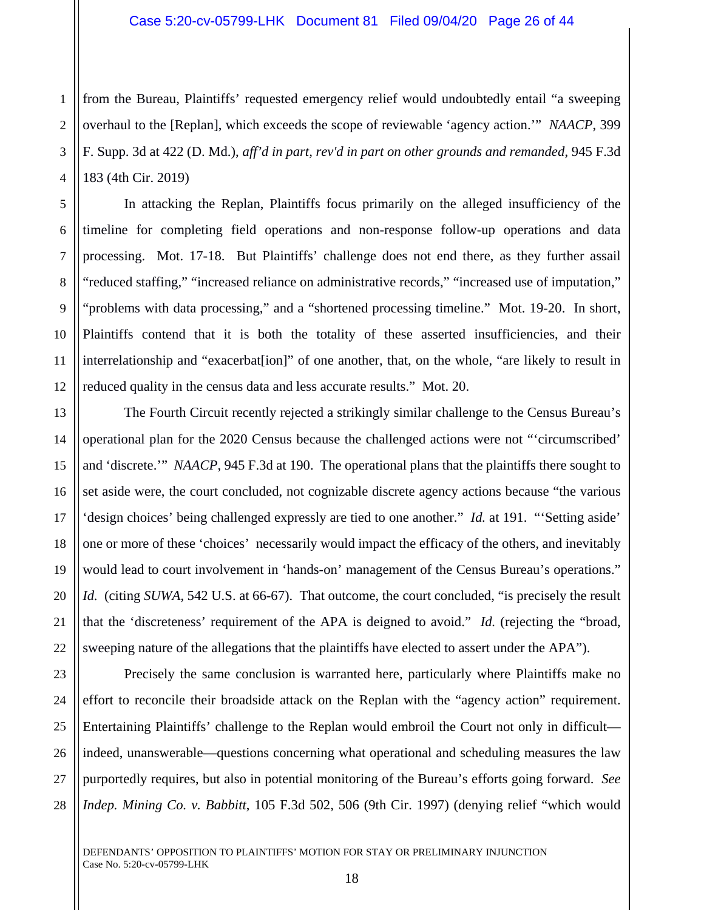1 2 3 4 from the Bureau, Plaintiffs' requested emergency relief would undoubtedly entail "a sweeping overhaul to the [Replan], which exceeds the scope of reviewable 'agency action.'" *NAACP*, 399 F. Supp. 3d at 422 (D. Md.), *aff'd in part, rev'd in part on other grounds and remanded*, 945 F.3d 183 (4th Cir. 2019)

In attacking the Replan, Plaintiffs focus primarily on the alleged insufficiency of the timeline for completing field operations and non-response follow-up operations and data processing. Mot. 17-18. But Plaintiffs' challenge does not end there, as they further assail "reduced staffing," "increased reliance on administrative records," "increased use of imputation," "problems with data processing," and a "shortened processing timeline." Mot. 19-20. In short, Plaintiffs contend that it is both the totality of these asserted insufficiencies, and their interrelationship and "exacerbat[ion]" of one another, that, on the whole, "are likely to result in reduced quality in the census data and less accurate results." Mot. 20.

The Fourth Circuit recently rejected a strikingly similar challenge to the Census Bureau's operational plan for the 2020 Census because the challenged actions were not "'circumscribed' and 'discrete.'" *NAACP*, 945 F.3d at 190. The operational plans that the plaintiffs there sought to set aside were, the court concluded, not cognizable discrete agency actions because "the various 'design choices' being challenged expressly are tied to one another." *Id.* at 191. "'Setting aside' one or more of these 'choices' necessarily would impact the efficacy of the others, and inevitably would lead to court involvement in 'hands-on' management of the Census Bureau's operations." *Id.* (citing *SUWA*, 542 U.S. at 66-67). That outcome, the court concluded, "is precisely the result that the 'discreteness' requirement of the APA is deigned to avoid." *Id.* (rejecting the "broad, sweeping nature of the allegations that the plaintiffs have elected to assert under the APA").

Precisely the same conclusion is warranted here, particularly where Plaintiffs make no effort to reconcile their broadside attack on the Replan with the "agency action" requirement. Entertaining Plaintiffs' challenge to the Replan would embroil the Court not only in difficult indeed, unanswerable—questions concerning what operational and scheduling measures the law purportedly requires, but also in potential monitoring of the Bureau's efforts going forward. *See Indep. Mining Co. v. Babbitt*, 105 F.3d 502, 506 (9th Cir. 1997) (denying relief "which would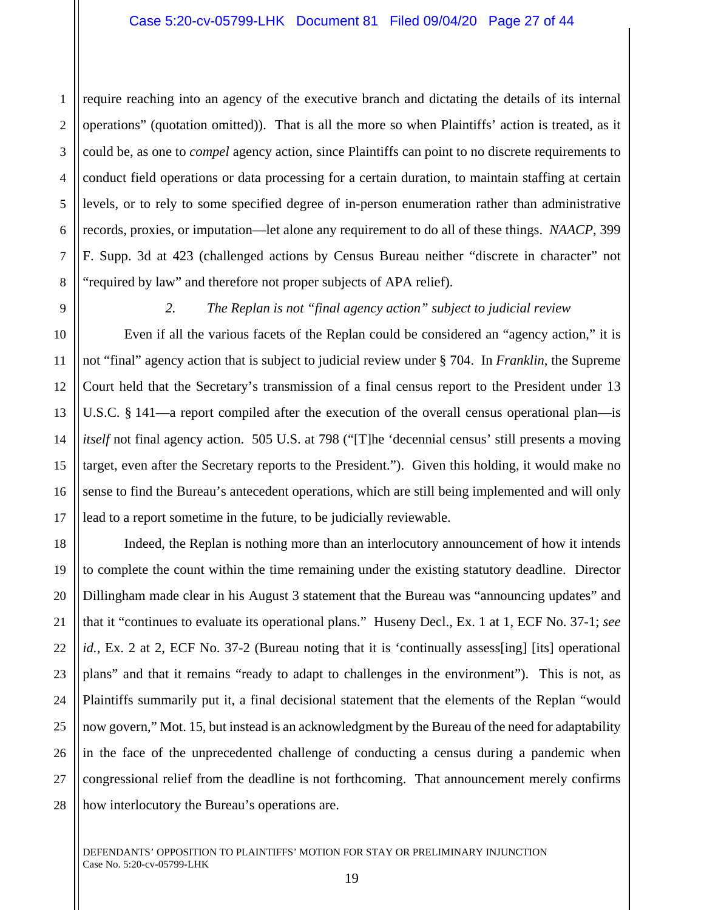2 3 4 5 6 7 8 require reaching into an agency of the executive branch and dictating the details of its internal operations" (quotation omitted)). That is all the more so when Plaintiffs' action is treated, as it could be, as one to *compel* agency action, since Plaintiffs can point to no discrete requirements to conduct field operations or data processing for a certain duration, to maintain staffing at certain levels, or to rely to some specified degree of in-person enumeration rather than administrative records, proxies, or imputation—let alone any requirement to do all of these things. *NAACP*, 399 F. Supp. 3d at 423 (challenged actions by Census Bureau neither "discrete in character" not "required by law" and therefore not proper subjects of APA relief).

1

9

10

11

12

13

14

15

16

17

21

27

### *2. The Replan is not "final agency action" subject to judicial review*

Even if all the various facets of the Replan could be considered an "agency action," it is not "final" agency action that is subject to judicial review under § 704. In *Franklin*, the Supreme Court held that the Secretary's transmission of a final census report to the President under 13 U.S.C. § 141—a report compiled after the execution of the overall census operational plan—is *itself* not final agency action. 505 U.S. at 798 ("[T]he 'decennial census' still presents a moving target, even after the Secretary reports to the President."). Given this holding, it would make no sense to find the Bureau's antecedent operations, which are still being implemented and will only lead to a report sometime in the future, to be judicially reviewable.

18 19 20 22 23 24 25 26 28 Indeed, the Replan is nothing more than an interlocutory announcement of how it intends to complete the count within the time remaining under the existing statutory deadline. Director Dillingham made clear in his August 3 statement that the Bureau was "announcing updates" and that it "continues to evaluate its operational plans." Huseny Decl., Ex. 1 at 1, ECF No. 37-1; *see id.*, Ex. 2 at 2, ECF No. 37-2 (Bureau noting that it is 'continually assess [ing] [its] operational plans" and that it remains "ready to adapt to challenges in the environment"). This is not, as Plaintiffs summarily put it, a final decisional statement that the elements of the Replan "would now govern," Mot. 15, but instead is an acknowledgment by the Bureau of the need for adaptability in the face of the unprecedented challenge of conducting a census during a pandemic when congressional relief from the deadline is not forthcoming. That announcement merely confirms how interlocutory the Bureau's operations are.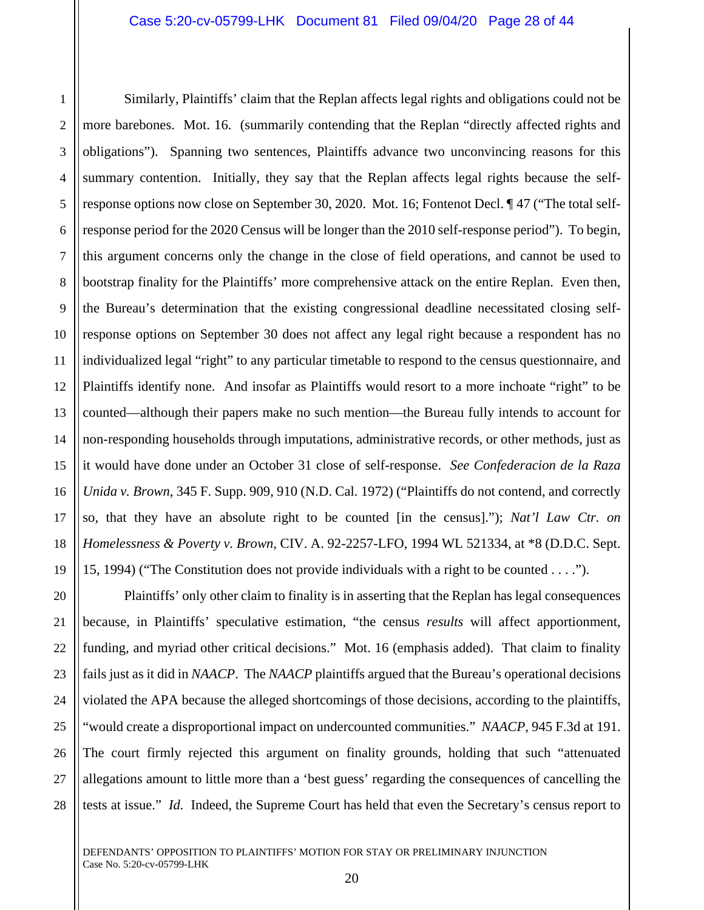6 Similarly, Plaintiffs' claim that the Replan affects legal rights and obligations could not be more barebones. Mot. 16. (summarily contending that the Replan "directly affected rights and obligations"). Spanning two sentences, Plaintiffs advance two unconvincing reasons for this summary contention. Initially, they say that the Replan affects legal rights because the selfresponse options now close on September 30, 2020. Mot. 16; Fontenot Decl. ¶ 47 ("The total selfresponse period for the 2020 Census will be longer than the 2010 self-response period"). To begin, this argument concerns only the change in the close of field operations, and cannot be used to bootstrap finality for the Plaintiffs' more comprehensive attack on the entire Replan. Even then, the Bureau's determination that the existing congressional deadline necessitated closing selfresponse options on September 30 does not affect any legal right because a respondent has no individualized legal "right" to any particular timetable to respond to the census questionnaire, and Plaintiffs identify none. And insofar as Plaintiffs would resort to a more inchoate "right" to be counted—although their papers make no such mention—the Bureau fully intends to account for non-responding households through imputations, administrative records, or other methods, just as it would have done under an October 31 close of self-response. *See Confederacion de la Raza Unida v. Brown*, 345 F. Supp. 909, 910 (N.D. Cal. 1972) ("Plaintiffs do not contend, and correctly so, that they have an absolute right to be counted [in the census]."); *Nat'l Law Ctr. on Homelessness & Poverty v. Brown*, CIV. A. 92-2257-LFO, 1994 WL 521334, at \*8 (D.D.C. Sept. 15, 1994) ("The Constitution does not provide individuals with a right to be counted . . . .").

Plaintiffs' only other claim to finality is in asserting that the Replan has legal consequences because, in Plaintiffs' speculative estimation, "the census *results* will affect apportionment, funding, and myriad other critical decisions." Mot. 16 (emphasis added). That claim to finality fails just as it did in *NAACP*. The *NAACP* plaintiffs argued that the Bureau's operational decisions violated the APA because the alleged shortcomings of those decisions, according to the plaintiffs, "would create a disproportional impact on undercounted communities." *NAACP*, 945 F.3d at 191. The court firmly rejected this argument on finality grounds, holding that such "attenuated allegations amount to little more than a 'best guess' regarding the consequences of cancelling the tests at issue." *Id.* Indeed, the Supreme Court has held that even the Secretary's census report to

1

2

3

4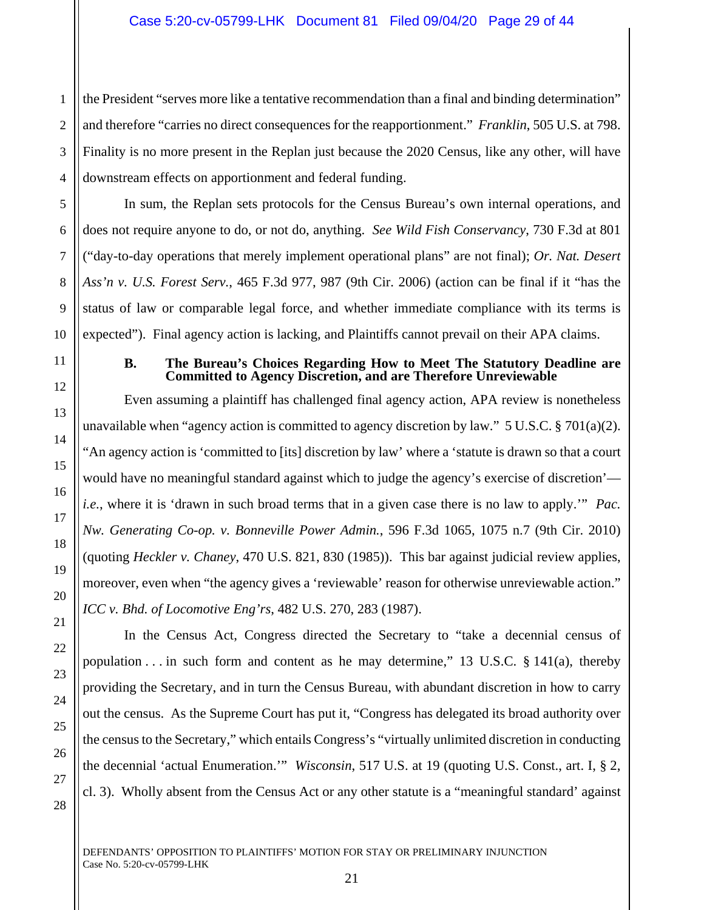1 2 3 4 the President "serves more like a tentative recommendation than a final and binding determination" and therefore "carries no direct consequences for the reapportionment." *Franklin*, 505 U.S. at 798. Finality is no more present in the Replan just because the 2020 Census, like any other, will have downstream effects on apportionment and federal funding.

In sum, the Replan sets protocols for the Census Bureau's own internal operations, and does not require anyone to do, or not do, anything. *See Wild Fish Conservancy*, 730 F.3d at 801 ("day-to-day operations that merely implement operational plans" are not final); *Or. Nat. Desert Ass'n v. U.S. Forest Serv.*, 465 F.3d 977, 987 (9th Cir. 2006) (action can be final if it "has the status of law or comparable legal force, and whether immediate compliance with its terms is expected"). Final agency action is lacking, and Plaintiffs cannot prevail on their APA claims.

### **B. The Bureau's Choices Regarding How to Meet The Statutory Deadline are Committed to Agency Discretion, and are Therefore Unreviewable**

Even assuming a plaintiff has challenged final agency action, APA review is nonetheless unavailable when "agency action is committed to agency discretion by law."  $5 \text{ U.S.C.}$   $\frac{1}{2} \frac{701(a)(2)}{2}$ . "An agency action is 'committed to [its] discretion by law' where a 'statute is drawn so that a court would have no meaningful standard against which to judge the agency's exercise of discretion' *i.e.*, where it is 'drawn in such broad terms that in a given case there is no law to apply.'" *Pac. Nw. Generating Co-op. v. Bonneville Power Admin.*, 596 F.3d 1065, 1075 n.7 (9th Cir. 2010) (quoting *Heckler v. Chaney*, 470 U.S. 821, 830 (1985)). This bar against judicial review applies, moreover, even when "the agency gives a 'reviewable' reason for otherwise unreviewable action." *ICC v. Bhd. of Locomotive Eng'rs*, 482 U.S. 270, 283 (1987).

In the Census Act, Congress directed the Secretary to "take a decennial census of population  $\ldots$  in such form and content as he may determine," 13 U.S.C. § 141(a), thereby providing the Secretary, and in turn the Census Bureau, with abundant discretion in how to carry out the census. As the Supreme Court has put it, "Congress has delegated its broad authority over the census to the Secretary," which entails Congress's "virtually unlimited discretion in conducting the decennial 'actual Enumeration.'" *Wisconsin*, 517 U.S. at 19 (quoting U.S. Const., art. I, § 2, cl. 3). Wholly absent from the Census Act or any other statute is a "meaningful standard' against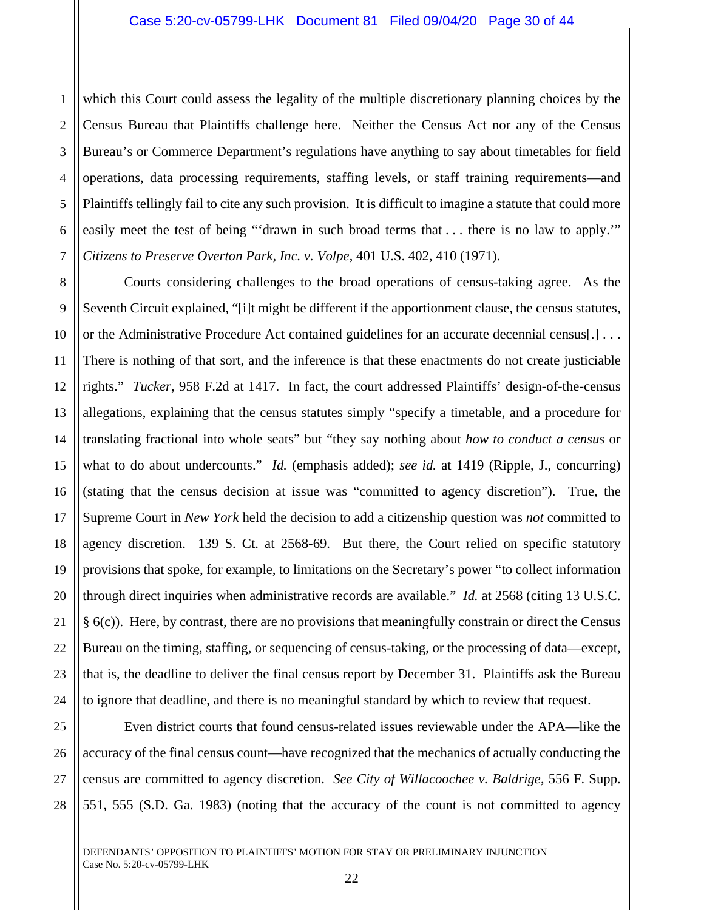1 2 3 4 5 6 7 which this Court could assess the legality of the multiple discretionary planning choices by the Census Bureau that Plaintiffs challenge here. Neither the Census Act nor any of the Census Bureau's or Commerce Department's regulations have anything to say about timetables for field operations, data processing requirements, staffing levels, or staff training requirements—and Plaintiffs tellingly fail to cite any such provision. It is difficult to imagine a statute that could more easily meet the test of being "'drawn in such broad terms that ... there is no law to apply.'" *Citizens to Preserve Overton Park, Inc. v. Volpe*, 401 U.S. 402, 410 (1971).

8 9 10 11 12 13 14 15 16 17 18 19 20 21 22 23 24 Courts considering challenges to the broad operations of census-taking agree. As the Seventh Circuit explained, "[i]t might be different if the apportionment clause, the census statutes, or the Administrative Procedure Act contained guidelines for an accurate decennial census[.] . . . There is nothing of that sort, and the inference is that these enactments do not create justiciable rights." *Tucker*, 958 F.2d at 1417. In fact, the court addressed Plaintiffs' design-of-the-census allegations, explaining that the census statutes simply "specify a timetable, and a procedure for translating fractional into whole seats" but "they say nothing about *how to conduct a census* or what to do about undercounts." *Id.* (emphasis added); *see id.* at 1419 (Ripple, J., concurring) (stating that the census decision at issue was "committed to agency discretion"). True, the Supreme Court in *New York* held the decision to add a citizenship question was *not* committed to agency discretion. 139 S. Ct. at 2568-69. But there, the Court relied on specific statutory provisions that spoke, for example, to limitations on the Secretary's power "to collect information through direct inquiries when administrative records are available." *Id.* at 2568 (citing 13 U.S.C. § 6(c)). Here, by contrast, there are no provisions that meaningfully constrain or direct the Census Bureau on the timing, staffing, or sequencing of census-taking, or the processing of data—except, that is, the deadline to deliver the final census report by December 31. Plaintiffs ask the Bureau to ignore that deadline, and there is no meaningful standard by which to review that request.

25 26 27 28 Even district courts that found census-related issues reviewable under the APA—like the accuracy of the final census count—have recognized that the mechanics of actually conducting the census are committed to agency discretion. *See City of Willacoochee v. Baldrige*, 556 F. Supp. 551, 555 (S.D. Ga. 1983) (noting that the accuracy of the count is not committed to agency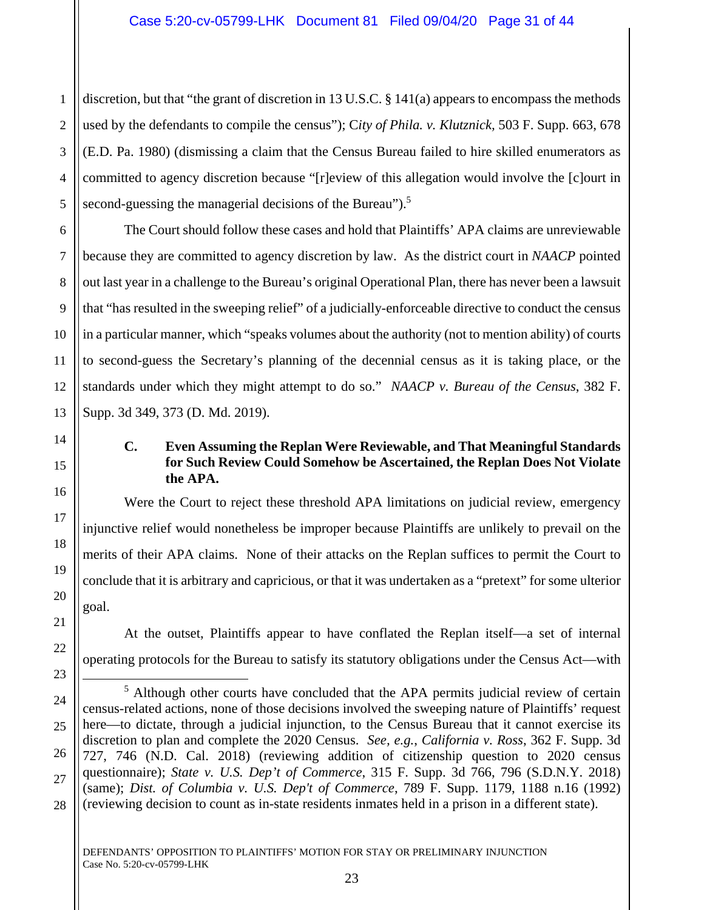2 discretion, but that "the grant of discretion in 13 U.S.C. § 141(a) appears to encompass the methods used by the defendants to compile the census"); C*ity of Phila. v. Klutznick,* 503 F. Supp. 663, 678 (E.D. Pa. 1980) (dismissing a claim that the Census Bureau failed to hire skilled enumerators as committed to agency discretion because "[r]eview of this allegation would involve the [c]ourt in second-guessing the managerial decisions of the Bureau").<sup>5</sup>

The Court should follow these cases and hold that Plaintiffs' APA claims are unreviewable because they are committed to agency discretion by law. As the district court in *NAACP* pointed out last year in a challenge to the Bureau's original Operational Plan, there has never been a lawsuit that "has resulted in the sweeping relief" of a judicially-enforceable directive to conduct the census in a particular manner, which "speaks volumes about the authority (not to mention ability) of courts to second-guess the Secretary's planning of the decennial census as it is taking place, or the standards under which they might attempt to do so." *NAACP v. Bureau of the Census*, 382 F. Supp. 3d 349, 373 (D. Md. 2019).

÷

## **C. Even Assuming the Replan Were Reviewable, and That Meaningful Standards for Such Review Could Somehow be Ascertained, the Replan Does Not Violate the APA.**

Were the Court to reject these threshold APA limitations on judicial review, emergency injunctive relief would nonetheless be improper because Plaintiffs are unlikely to prevail on the merits of their APA claims. None of their attacks on the Replan suffices to permit the Court to conclude that it is arbitrary and capricious, or that it was undertaken as a "pretext" for some ulterior goal.

At the outset, Plaintiffs appear to have conflated the Replan itself—a set of internal operating protocols for the Bureau to satisfy its statutory obligations under the Census Act—with

<sup>&</sup>lt;sup>5</sup> Although other courts have concluded that the APA permits judicial review of certain census-related actions, none of those decisions involved the sweeping nature of Plaintiffs' request here—to dictate, through a judicial injunction, to the Census Bureau that it cannot exercise its discretion to plan and complete the 2020 Census. *See, e.g.*, *California v. Ross*, 362 F. Supp. 3d 727, 746 (N.D. Cal. 2018) (reviewing addition of citizenship question to 2020 census questionnaire); *State v. U.S. Dep't of Commerce*, 315 F. Supp. 3d 766, 796 (S.D.N.Y. 2018) (same); *Dist. of Columbia v. U.S. Dep't of Commerce*, 789 F. Supp. 1179, 1188 n.16 (1992) (reviewing decision to count as in-state residents inmates held in a prison in a different state).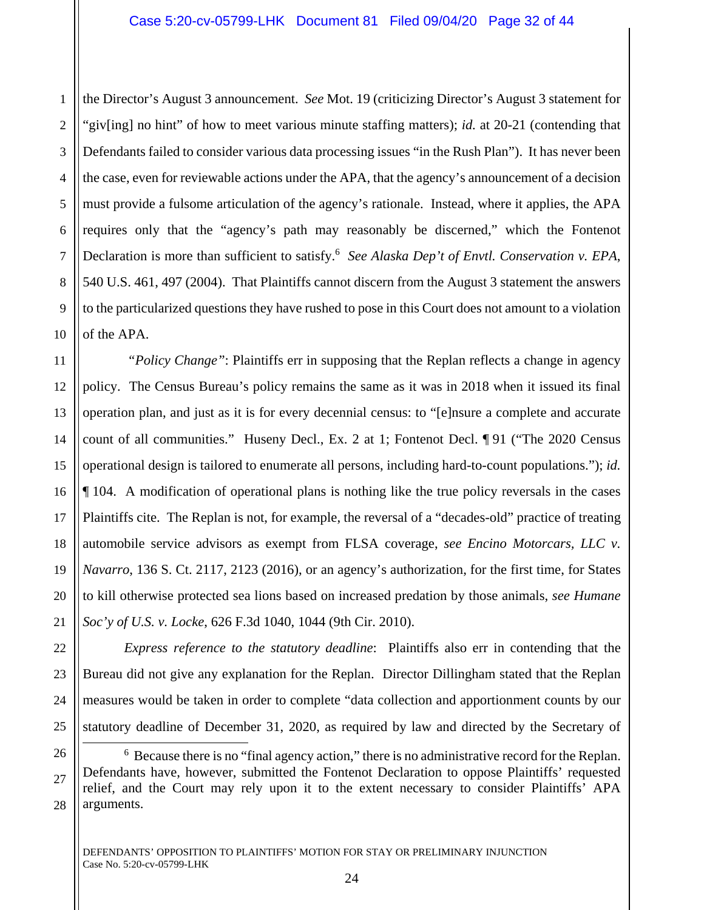1 2 3 4 5 6 7 the Director's August 3 announcement. *See* Mot. 19 (criticizing Director's August 3 statement for "giv[ing] no hint" of how to meet various minute staffing matters); *id.* at 20-21 (contending that Defendants failed to consider various data processing issues "in the Rush Plan"). It has never been the case, even for reviewable actions under the APA, that the agency's announcement of a decision must provide a fulsome articulation of the agency's rationale. Instead, where it applies, the APA requires only that the "agency's path may reasonably be discerned," which the Fontenot Declaration is more than sufficient to satisfy.<sup>6</sup> See Alaska Dep't of Envtl. Conservation v. EPA, 540 U.S. 461, 497 (2004). That Plaintiffs cannot discern from the August 3 statement the answers to the particularized questions they have rushed to pose in this Court does not amount to a violation of the APA.

*"Policy Change"*: Plaintiffs err in supposing that the Replan reflects a change in agency policy. The Census Bureau's policy remains the same as it was in 2018 when it issued its final operation plan, and just as it is for every decennial census: to "[e]nsure a complete and accurate count of all communities." Huseny Decl., Ex. 2 at 1; Fontenot Decl. ¶ 91 ("The 2020 Census operational design is tailored to enumerate all persons, including hard-to-count populations."); *id.* ¶ 104. A modification of operational plans is nothing like the true policy reversals in the cases Plaintiffs cite. The Replan is not, for example, the reversal of a "decades-old" practice of treating automobile service advisors as exempt from FLSA coverage, *see Encino Motorcars, LLC v. Navarro*, 136 S. Ct. 2117, 2123 (2016), or an agency's authorization, for the first time, for States to kill otherwise protected sea lions based on increased predation by those animals, *see Humane Soc'y of U.S. v. Locke*, 626 F.3d 1040, 1044 (9th Cir. 2010).

*Express reference to the statutory deadline*: Plaintiffs also err in contending that the Bureau did not give any explanation for the Replan. Director Dillingham stated that the Replan measures would be taken in order to complete "data collection and apportionment counts by our statutory deadline of December 31, 2020, as required by law and directed by the Secretary of

÷

<sup>&</sup>lt;sup>6</sup> Because there is no "final agency action," there is no administrative record for the Replan. Defendants have, however, submitted the Fontenot Declaration to oppose Plaintiffs' requested relief, and the Court may rely upon it to the extent necessary to consider Plaintiffs' APA arguments.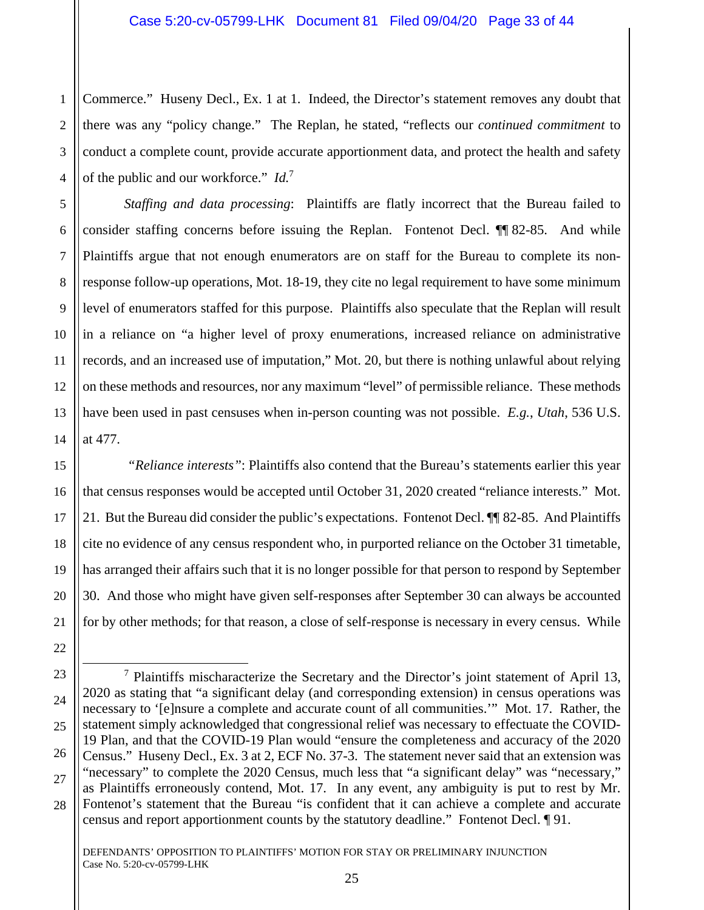1 2 3 Commerce." Huseny Decl., Ex. 1 at 1. Indeed, the Director's statement removes any doubt that there was any "policy change." The Replan, he stated, "reflects our *continued commitment* to conduct a complete count, provide accurate apportionment data, and protect the health and safety of the public and our workforce." *Id.*<sup>7</sup>

*Staffing and data processing*: Plaintiffs are flatly incorrect that the Bureau failed to consider staffing concerns before issuing the Replan. Fontenot Decl. ¶¶ 82-85. And while Plaintiffs argue that not enough enumerators are on staff for the Bureau to complete its nonresponse follow-up operations, Mot. 18-19, they cite no legal requirement to have some minimum level of enumerators staffed for this purpose. Plaintiffs also speculate that the Replan will result in a reliance on "a higher level of proxy enumerations, increased reliance on administrative records, and an increased use of imputation," Mot. 20, but there is nothing unlawful about relying on these methods and resources, nor any maximum "level" of permissible reliance. These methods have been used in past censuses when in-person counting was not possible. *E.g.*, *Utah*, 536 U.S. at 477.

*"Reliance interests"*: Plaintiffs also contend that the Bureau's statements earlier this year that census responses would be accepted until October 31, 2020 created "reliance interests." Mot. 21. But the Bureau did consider the public's expectations. Fontenot Decl. ¶¶ 82-85. And Plaintiffs cite no evidence of any census respondent who, in purported reliance on the October 31 timetable, has arranged their affairs such that it is no longer possible for that person to respond by September 30. And those who might have given self-responses after September 30 can always be accounted for by other methods; for that reason, a close of self-response is necessary in every census. While

<sup>28</sup> ÷  $<sup>7</sup>$  Plaintiffs mischaracterize the Secretary and the Director's joint statement of April 13,</sup> 2020 as stating that "a significant delay (and corresponding extension) in census operations was necessary to '[e]nsure a complete and accurate count of all communities.'" Mot. 17. Rather, the statement simply acknowledged that congressional relief was necessary to effectuate the COVID-19 Plan, and that the COVID-19 Plan would "ensure the completeness and accuracy of the 2020 Census." Huseny Decl., Ex. 3 at 2, ECF No. 37-3. The statement never said that an extension was "necessary" to complete the 2020 Census, much less that "a significant delay" was "necessary," as Plaintiffs erroneously contend, Mot. 17. In any event, any ambiguity is put to rest by Mr. Fontenot's statement that the Bureau "is confident that it can achieve a complete and accurate census and report apportionment counts by the statutory deadline." Fontenot Decl. ¶ 91.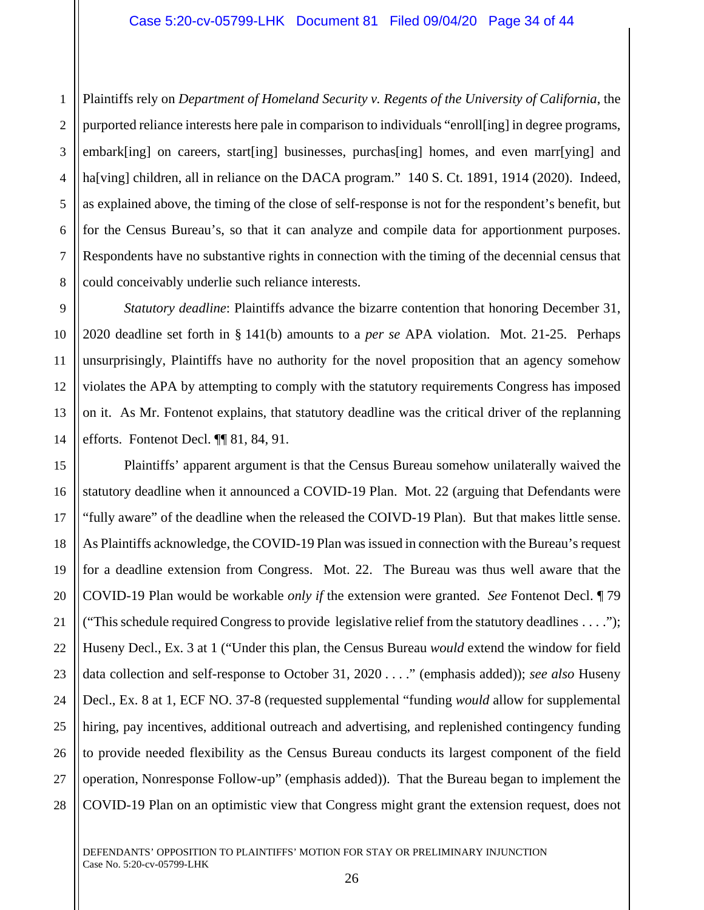1 2 3 Plaintiffs rely on *Department of Homeland Security v. Regents of the University of California*, the purported reliance interests here pale in comparison to individuals "enroll[ing] in degree programs, embark[ing] on careers, start[ing] businesses, purchas[ing] homes, and even marr[ying] and ha[ving] children, all in reliance on the DACA program." 140 S. Ct. 1891, 1914 (2020). Indeed, as explained above, the timing of the close of self-response is not for the respondent's benefit, but for the Census Bureau's, so that it can analyze and compile data for apportionment purposes. Respondents have no substantive rights in connection with the timing of the decennial census that could conceivably underlie such reliance interests.

*Statutory deadline*: Plaintiffs advance the bizarre contention that honoring December 31, 2020 deadline set forth in § 141(b) amounts to a *per se* APA violation. Mot. 21-25. Perhaps unsurprisingly, Plaintiffs have no authority for the novel proposition that an agency somehow violates the APA by attempting to comply with the statutory requirements Congress has imposed on it. As Mr. Fontenot explains, that statutory deadline was the critical driver of the replanning efforts. Fontenot Decl. ¶¶ 81, 84, 91.

28 Plaintiffs' apparent argument is that the Census Bureau somehow unilaterally waived the statutory deadline when it announced a COVID-19 Plan. Mot. 22 (arguing that Defendants were "fully aware" of the deadline when the released the COIVD-19 Plan). But that makes little sense. As Plaintiffs acknowledge, the COVID-19 Plan was issued in connection with the Bureau's request for a deadline extension from Congress. Mot. 22. The Bureau was thus well aware that the COVID-19 Plan would be workable *only if* the extension were granted. *See* Fontenot Decl. ¶ 79 ("This schedule required Congress to provide legislative relief from the statutory deadlines . . . ."); Huseny Decl., Ex. 3 at 1 ("Under this plan, the Census Bureau *would* extend the window for field data collection and self-response to October 31, 2020 . . . ." (emphasis added)); *see also* Huseny Decl., Ex. 8 at 1, ECF NO. 37-8 (requested supplemental "funding *would* allow for supplemental hiring, pay incentives, additional outreach and advertising, and replenished contingency funding to provide needed flexibility as the Census Bureau conducts its largest component of the field operation, Nonresponse Follow-up" (emphasis added)). That the Bureau began to implement the COVID-19 Plan on an optimistic view that Congress might grant the extension request, does not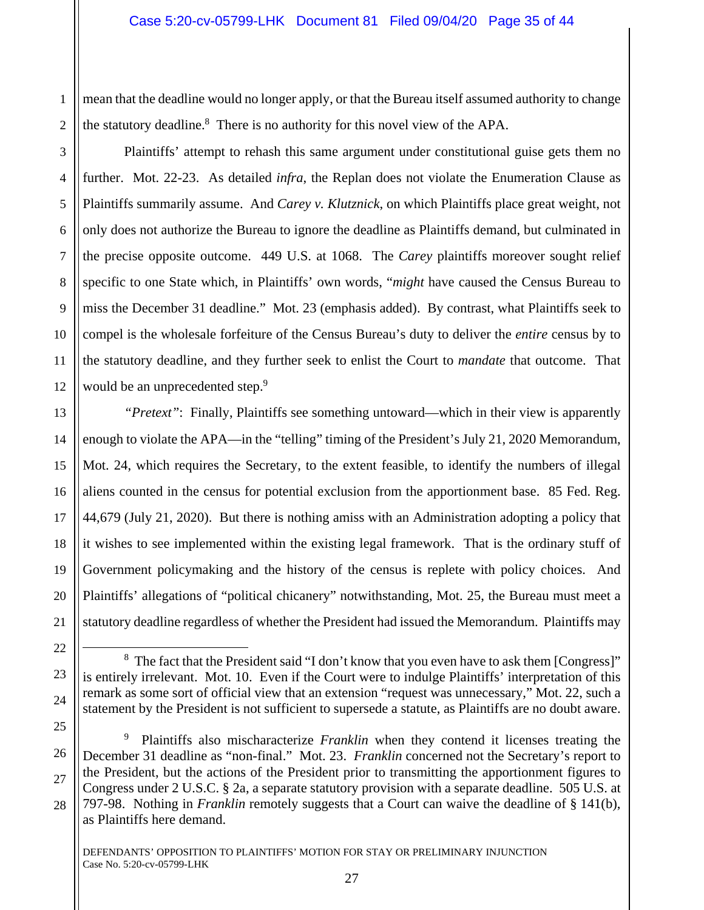mean that the deadline would no longer apply, or that the Bureau itself assumed authority to change the statutory deadline.<sup>8</sup> There is no authority for this novel view of the APA.

Plaintiffs' attempt to rehash this same argument under constitutional guise gets them no further. Mot. 22-23. As detailed *infra*, the Replan does not violate the Enumeration Clause as Plaintiffs summarily assume. And *Carey v. Klutznick*, on which Plaintiffs place great weight, not only does not authorize the Bureau to ignore the deadline as Plaintiffs demand, but culminated in the precise opposite outcome. 449 U.S. at 1068. The *Carey* plaintiffs moreover sought relief specific to one State which, in Plaintiffs' own words, "*might* have caused the Census Bureau to miss the December 31 deadline." Mot. 23 (emphasis added). By contrast, what Plaintiffs seek to compel is the wholesale forfeiture of the Census Bureau's duty to deliver the *entire* census by to the statutory deadline, and they further seek to enlist the Court to *mandate* that outcome. That would be an unprecedented step.<sup>9</sup>

*"Pretext"*: Finally, Plaintiffs see something untoward—which in their view is apparently enough to violate the APA—in the "telling" timing of the President's July 21, 2020 Memorandum, Mot. 24, which requires the Secretary, to the extent feasible, to identify the numbers of illegal aliens counted in the census for potential exclusion from the apportionment base. 85 Fed. Reg. 44,679 (July 21, 2020). But there is nothing amiss with an Administration adopting a policy that it wishes to see implemented within the existing legal framework. That is the ordinary stuff of Government policymaking and the history of the census is replete with policy choices. And Plaintiffs' allegations of "political chicanery" notwithstanding, Mot. 25, the Bureau must meet a statutory deadline regardless of whether the President had issued the Memorandum. Plaintiffs may

9 Plaintiffs also mischaracterize *Franklin* when they contend it licenses treating the December 31 deadline as "non-final." Mot. 23. *Franklin* concerned not the Secretary's report to the President, but the actions of the President prior to transmitting the apportionment figures to Congress under 2 U.S.C. § 2a, a separate statutory provision with a separate deadline. 505 U.S. at 797-98. Nothing in *Franklin* remotely suggests that a Court can waive the deadline of § 141(b), as Plaintiffs here demand.

÷

1

<sup>&</sup>lt;sup>8</sup> The fact that the President said "I don't know that you even have to ask them [Congress]" is entirely irrelevant. Mot. 10. Even if the Court were to indulge Plaintiffs' interpretation of this remark as some sort of official view that an extension "request was unnecessary," Mot. 22, such a statement by the President is not sufficient to supersede a statute, as Plaintiffs are no doubt aware.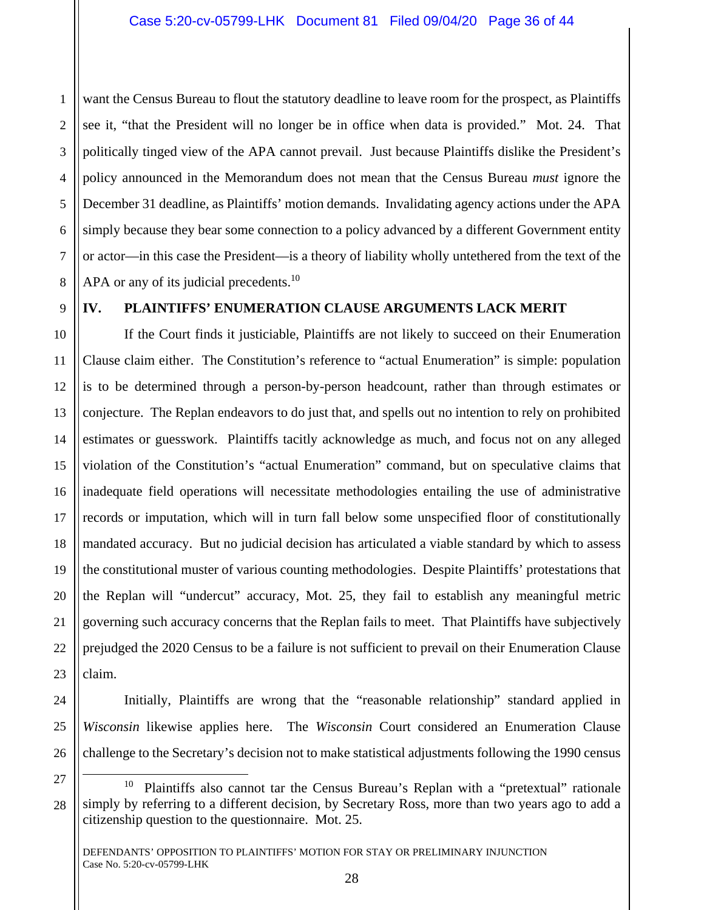2 3 4 5 6 7 8 want the Census Bureau to flout the statutory deadline to leave room for the prospect, as Plaintiffs see it, "that the President will no longer be in office when data is provided." Mot. 24. That politically tinged view of the APA cannot prevail. Just because Plaintiffs dislike the President's policy announced in the Memorandum does not mean that the Census Bureau *must* ignore the December 31 deadline, as Plaintiffs' motion demands. Invalidating agency actions under the APA simply because they bear some connection to a policy advanced by a different Government entity or actor—in this case the President—is a theory of liability wholly untethered from the text of the APA or any of its judicial precedents.<sup>10</sup>

9

1

## **IV. PLAINTIFFS' ENUMERATION CLAUSE ARGUMENTS LACK MERIT**

10 11 12 13 14 15 16 17 18 19 20 21 22 If the Court finds it justiciable, Plaintiffs are not likely to succeed on their Enumeration Clause claim either. The Constitution's reference to "actual Enumeration" is simple: population is to be determined through a person-by-person headcount, rather than through estimates or conjecture. The Replan endeavors to do just that, and spells out no intention to rely on prohibited estimates or guesswork. Plaintiffs tacitly acknowledge as much, and focus not on any alleged violation of the Constitution's "actual Enumeration" command, but on speculative claims that inadequate field operations will necessitate methodologies entailing the use of administrative records or imputation, which will in turn fall below some unspecified floor of constitutionally mandated accuracy. But no judicial decision has articulated a viable standard by which to assess the constitutional muster of various counting methodologies. Despite Plaintiffs' protestations that the Replan will "undercut" accuracy, Mot. 25, they fail to establish any meaningful metric governing such accuracy concerns that the Replan fails to meet. That Plaintiffs have subjectively prejudged the 2020 Census to be a failure is not sufficient to prevail on their Enumeration Clause claim.

÷

Initially, Plaintiffs are wrong that the "reasonable relationship" standard applied in *Wisconsin* likewise applies here. The *Wisconsin* Court considered an Enumeration Clause challenge to the Secretary's decision not to make statistical adjustments following the 1990 census

<sup>27</sup> 28 <sup>10</sup> Plaintiffs also cannot tar the Census Bureau's Replan with a "pretextual" rationale simply by referring to a different decision, by Secretary Ross, more than two years ago to add a citizenship question to the questionnaire. Mot. 25.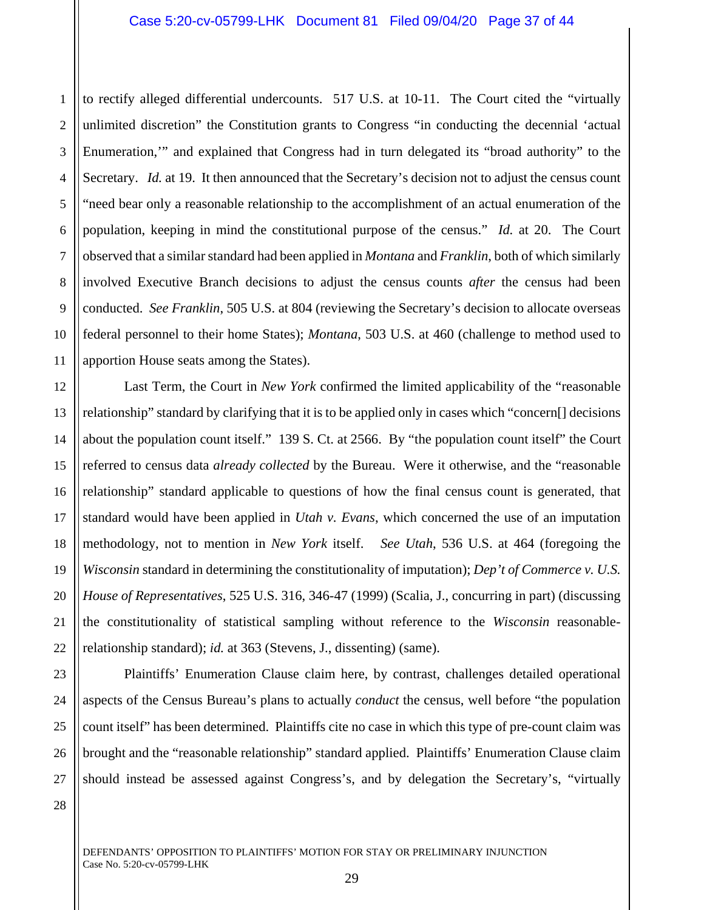2 3 4 5 6 7 8 9 10 11 to rectify alleged differential undercounts. 517 U.S. at 10-11. The Court cited the "virtually unlimited discretion" the Constitution grants to Congress "in conducting the decennial 'actual Enumeration,'" and explained that Congress had in turn delegated its "broad authority" to the Secretary. *Id.* at 19. It then announced that the Secretary's decision not to adjust the census count "need bear only a reasonable relationship to the accomplishment of an actual enumeration of the population, keeping in mind the constitutional purpose of the census." *Id.* at 20. The Court observed that a similar standard had been applied in *Montana* and *Franklin*, both of which similarly involved Executive Branch decisions to adjust the census counts *after* the census had been conducted. *See Franklin*, 505 U.S. at 804 (reviewing the Secretary's decision to allocate overseas federal personnel to their home States); *Montana*, 503 U.S. at 460 (challenge to method used to apportion House seats among the States).

12 13 14 15 16 18 19 20 22 Last Term, the Court in *New York* confirmed the limited applicability of the "reasonable relationship" standard by clarifying that it is to be applied only in cases which "concern[] decisions about the population count itself." 139 S. Ct. at 2566. By "the population count itself" the Court referred to census data *already collected* by the Bureau. Were it otherwise, and the "reasonable relationship" standard applicable to questions of how the final census count is generated, that standard would have been applied in *Utah v. Evans*, which concerned the use of an imputation methodology, not to mention in *New York* itself. *See Utah*, 536 U.S. at 464 (foregoing the *Wisconsin* standard in determining the constitutionality of imputation); *Dep't of Commerce v. U.S. House of Representatives*, 525 U.S. 316, 346-47 (1999) (Scalia, J., concurring in part) (discussing the constitutionality of statistical sampling without reference to the *Wisconsin* reasonablerelationship standard); *id.* at 363 (Stevens, J., dissenting) (same).

23 24 25 26 27 Plaintiffs' Enumeration Clause claim here, by contrast, challenges detailed operational aspects of the Census Bureau's plans to actually *conduct* the census, well before "the population count itself" has been determined. Plaintiffs cite no case in which this type of pre-count claim was brought and the "reasonable relationship" standard applied. Plaintiffs' Enumeration Clause claim should instead be assessed against Congress's, and by delegation the Secretary's, "virtually

28

17

21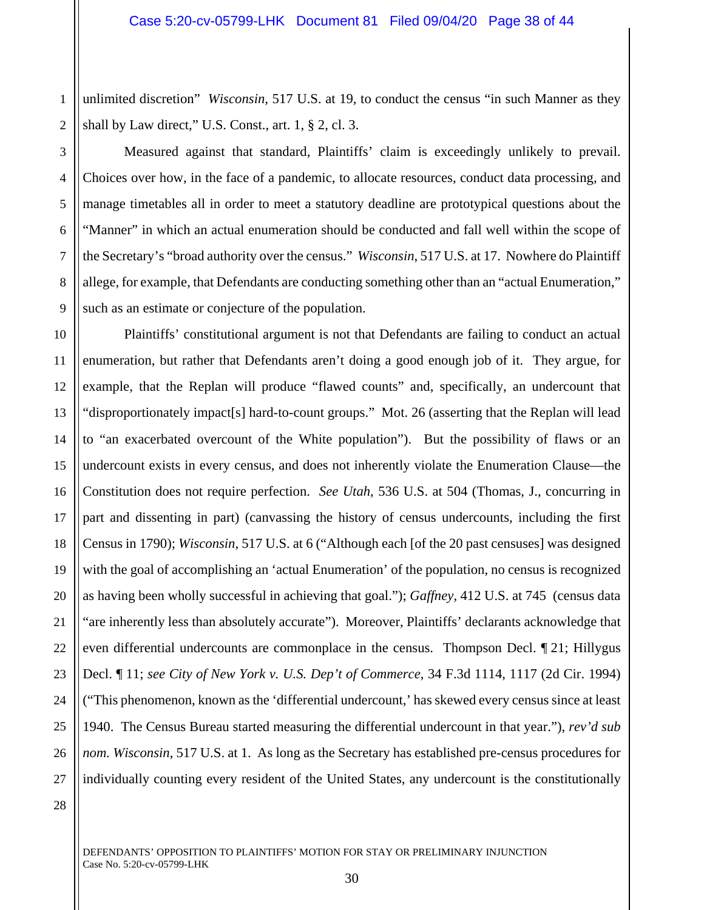1 2 unlimited discretion" *Wisconsin*, 517 U.S. at 19, to conduct the census "in such Manner as they shall by Law direct," U.S. Const., art. 1, § 2, cl. 3.

3

4

5

6

7

8

9

Measured against that standard, Plaintiffs' claim is exceedingly unlikely to prevail. Choices over how, in the face of a pandemic, to allocate resources, conduct data processing, and manage timetables all in order to meet a statutory deadline are prototypical questions about the "Manner" in which an actual enumeration should be conducted and fall well within the scope of the Secretary's "broad authority over the census." *Wisconsin*, 517 U.S. at 17. Nowhere do Plaintiff allege, for example, that Defendants are conducting something other than an "actual Enumeration," such as an estimate or conjecture of the population.

10 11 12 13 14 15 16 17 18 19 20 21 22 23 24 25 26 27 Plaintiffs' constitutional argument is not that Defendants are failing to conduct an actual enumeration, but rather that Defendants aren't doing a good enough job of it. They argue, for example, that the Replan will produce "flawed counts" and, specifically, an undercount that "disproportionately impact[s] hard-to-count groups." Mot. 26 (asserting that the Replan will lead to "an exacerbated overcount of the White population"). But the possibility of flaws or an undercount exists in every census, and does not inherently violate the Enumeration Clause—the Constitution does not require perfection. *See Utah*, 536 U.S. at 504 (Thomas, J., concurring in part and dissenting in part) (canvassing the history of census undercounts, including the first Census in 1790); *Wisconsin*, 517 U.S. at 6 ("Although each [of the 20 past censuses] was designed with the goal of accomplishing an 'actual Enumeration' of the population, no census is recognized as having been wholly successful in achieving that goal."); *Gaffney,* 412 U.S. at 745 (census data "are inherently less than absolutely accurate"). Moreover, Plaintiffs' declarants acknowledge that even differential undercounts are commonplace in the census. Thompson Decl. ¶ 21; Hillygus Decl. ¶ 11; *see City of New York v. U.S. Dep't of Commerce*, 34 F.3d 1114, 1117 (2d Cir. 1994) ("This phenomenon, known as the 'differential undercount,' has skewed every census since at least 1940. The Census Bureau started measuring the differential undercount in that year."), *rev'd sub nom. Wisconsin*, 517 U.S. at 1. As long as the Secretary has established pre-census procedures for individually counting every resident of the United States, any undercount is the constitutionally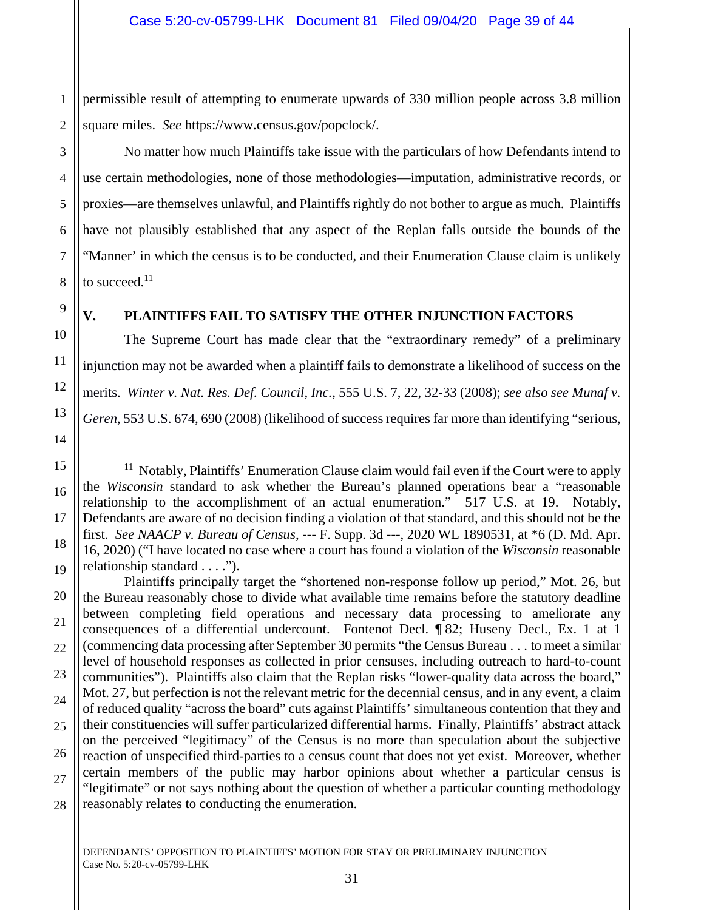1 2 permissible result of attempting to enumerate upwards of 330 million people across 3.8 million square miles. *See* https://www.census.gov/popclock/.

No matter how much Plaintiffs take issue with the particulars of how Defendants intend to use certain methodologies, none of those methodologies—imputation, administrative records, or proxies—are themselves unlawful, and Plaintiffs rightly do not bother to argue as much. Plaintiffs have not plausibly established that any aspect of the Replan falls outside the bounds of the "Manner' in which the census is to be conducted, and their Enumeration Clause claim is unlikely to succeed. $11$ 

# 9

3

4

5

6

7

8

## **V. PLAINTIFFS FAIL TO SATISFY THE OTHER INJUNCTION FACTORS**

The Supreme Court has made clear that the "extraordinary remedy" of a preliminary injunction may not be awarded when a plaintiff fails to demonstrate a likelihood of success on the merits. *Winter v. Nat. Res. Def. Council, Inc.*, 555 U.S. 7, 22, 32-33 (2008); *see also see Munaf v. Geren*, 553 U.S. 674, 690 (2008) (likelihood of success requires far more than identifying "serious,

14

÷

<sup>15</sup> 16 17 18 19  $11$  Notably, Plaintiffs' Enumeration Clause claim would fail even if the Court were to apply the *Wisconsin* standard to ask whether the Bureau's planned operations bear a "reasonable relationship to the accomplishment of an actual enumeration." 517 U.S. at 19. Notably, Defendants are aware of no decision finding a violation of that standard, and this should not be the first. *See NAACP v. Bureau of Census*, --- F. Supp. 3d ---, 2020 WL 1890531, at \*6 (D. Md. Apr. 16, 2020) ("I have located no case where a court has found a violation of the *Wisconsin* reasonable relationship standard . . . .").

<sup>20</sup> 21 22 23 24 25 26 27 28 Plaintiffs principally target the "shortened non-response follow up period," Mot. 26, but the Bureau reasonably chose to divide what available time remains before the statutory deadline between completing field operations and necessary data processing to ameliorate any consequences of a differential undercount. Fontenot Decl. ¶ 82; Huseny Decl., Ex. 1 at 1 (commencing data processing after September 30 permits "the Census Bureau . . . to meet a similar level of household responses as collected in prior censuses, including outreach to hard-to-count communities"). Plaintiffs also claim that the Replan risks "lower-quality data across the board," Mot. 27, but perfection is not the relevant metric for the decennial census, and in any event, a claim of reduced quality "across the board" cuts against Plaintiffs' simultaneous contention that they and their constituencies will suffer particularized differential harms. Finally, Plaintiffs' abstract attack on the perceived "legitimacy" of the Census is no more than speculation about the subjective reaction of unspecified third-parties to a census count that does not yet exist. Moreover, whether certain members of the public may harbor opinions about whether a particular census is "legitimate" or not says nothing about the question of whether a particular counting methodology reasonably relates to conducting the enumeration.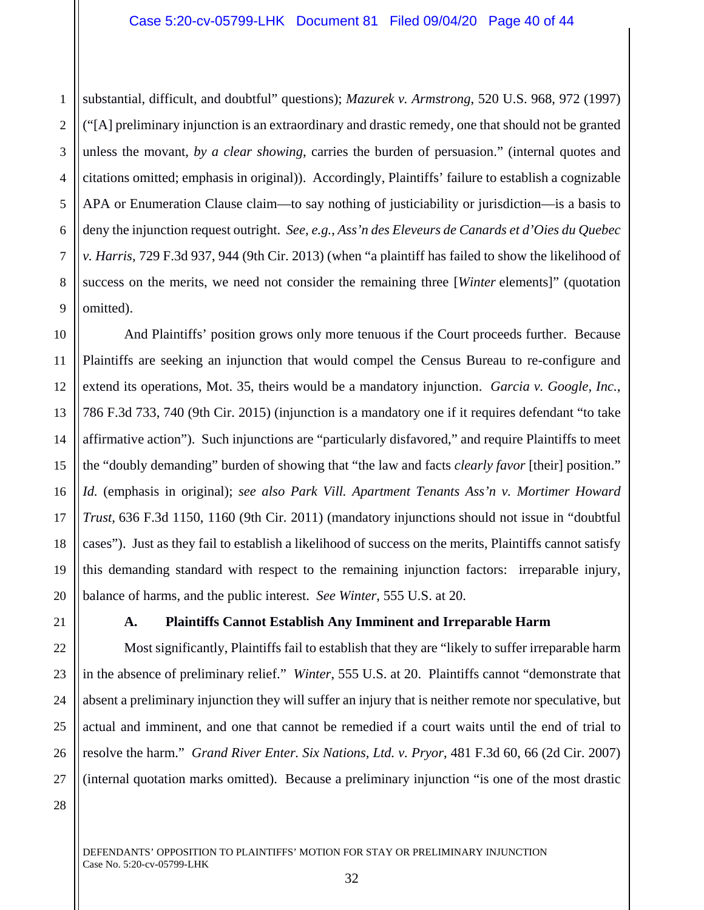1 2 3 4 5 6 7 8 9 substantial, difficult, and doubtful" questions); *Mazurek v. Armstrong*, 520 U.S. 968, 972 (1997) ("[A] preliminary injunction is an extraordinary and drastic remedy, one that should not be granted unless the movant, *by a clear showing*, carries the burden of persuasion." (internal quotes and citations omitted; emphasis in original)). Accordingly, Plaintiffs' failure to establish a cognizable APA or Enumeration Clause claim—to say nothing of justiciability or jurisdiction—is a basis to deny the injunction request outright. *See, e.g.*, *Ass'n des Eleveurs de Canards et d'Oies du Quebec v. Harris,* 729 F.3d 937, 944 (9th Cir. 2013) (when "a plaintiff has failed to show the likelihood of success on the merits, we need not consider the remaining three [*Winter* elements]" (quotation omitted).

10 12 13 14 15 16 17 18 19 20 And Plaintiffs' position grows only more tenuous if the Court proceeds further. Because Plaintiffs are seeking an injunction that would compel the Census Bureau to re-configure and extend its operations, Mot. 35, theirs would be a mandatory injunction. *Garcia v. Google, Inc.*, 786 F.3d 733, 740 (9th Cir. 2015) (injunction is a mandatory one if it requires defendant "to take affirmative action"). Such injunctions are "particularly disfavored," and require Plaintiffs to meet the "doubly demanding" burden of showing that "the law and facts *clearly favor* [their] position." *Id.* (emphasis in original); *see also Park Vill. Apartment Tenants Ass'n v. Mortimer Howard Trust,* 636 F.3d 1150, 1160 (9th Cir. 2011) (mandatory injunctions should not issue in "doubtful cases"). Just as they fail to establish a likelihood of success on the merits, Plaintiffs cannot satisfy this demanding standard with respect to the remaining injunction factors: irreparable injury, balance of harms, and the public interest. *See Winter*, 555 U.S. at 20.

21

22

23

24

25

26

27

11

## **A. Plaintiffs Cannot Establish Any Imminent and Irreparable Harm**

Most significantly, Plaintiffs fail to establish that they are "likely to suffer irreparable harm in the absence of preliminary relief." *Winter*, 555 U.S. at 20. Plaintiffs cannot "demonstrate that absent a preliminary injunction they will suffer an injury that is neither remote nor speculative, but actual and imminent, and one that cannot be remedied if a court waits until the end of trial to resolve the harm." *Grand River Enter. Six Nations, Ltd. v. Pryor*, 481 F.3d 60, 66 (2d Cir. 2007) (internal quotation marks omitted). Because a preliminary injunction "is one of the most drastic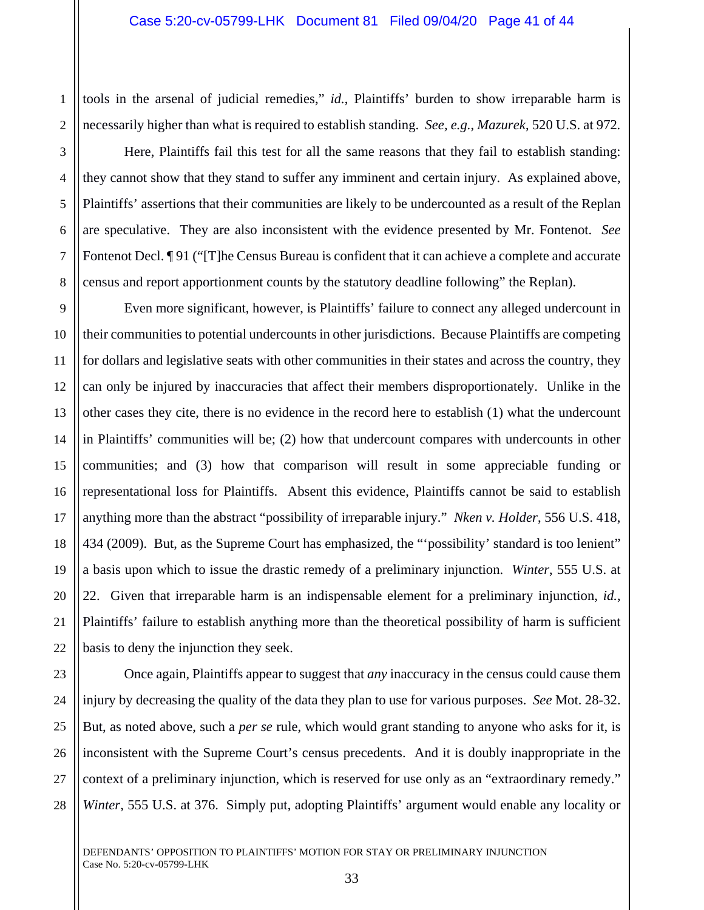tools in the arsenal of judicial remedies," *id.*, Plaintiffs' burden to show irreparable harm is necessarily higher than what is required to establish standing. *See, e.g.*, *Mazurek*, 520 U.S. at 972*.* 

Here, Plaintiffs fail this test for all the same reasons that they fail to establish standing: they cannot show that they stand to suffer any imminent and certain injury. As explained above, Plaintiffs' assertions that their communities are likely to be undercounted as a result of the Replan are speculative. They are also inconsistent with the evidence presented by Mr. Fontenot. *See*  Fontenot Decl. <sup>¶</sup> 91 ("[T]he Census Bureau is confident that it can achieve a complete and accurate census and report apportionment counts by the statutory deadline following" the Replan).

Even more significant, however, is Plaintiffs' failure to connect any alleged undercount in their communities to potential undercounts in other jurisdictions. Because Plaintiffs are competing for dollars and legislative seats with other communities in their states and across the country, they can only be injured by inaccuracies that affect their members disproportionately. Unlike in the other cases they cite, there is no evidence in the record here to establish (1) what the undercount in Plaintiffs' communities will be; (2) how that undercount compares with undercounts in other communities; and (3) how that comparison will result in some appreciable funding or representational loss for Plaintiffs. Absent this evidence, Plaintiffs cannot be said to establish anything more than the abstract "possibility of irreparable injury." *Nken v. Holder*, 556 U.S. 418, 434 (2009). But, as the Supreme Court has emphasized, the "'possibility' standard is too lenient" a basis upon which to issue the drastic remedy of a preliminary injunction. *Winter*, 555 U.S. at 22. Given that irreparable harm is an indispensable element for a preliminary injunction, *id.*, Plaintiffs' failure to establish anything more than the theoretical possibility of harm is sufficient basis to deny the injunction they seek.

Once again, Plaintiffs appear to suggest that *any* inaccuracy in the census could cause them injury by decreasing the quality of the data they plan to use for various purposes. *See* Mot. 28-32. But, as noted above, such a *per se* rule, which would grant standing to anyone who asks for it, is inconsistent with the Supreme Court's census precedents. And it is doubly inappropriate in the context of a preliminary injunction, which is reserved for use only as an "extraordinary remedy." *Winter*, 555 U.S. at 376. Simply put, adopting Plaintiffs' argument would enable any locality or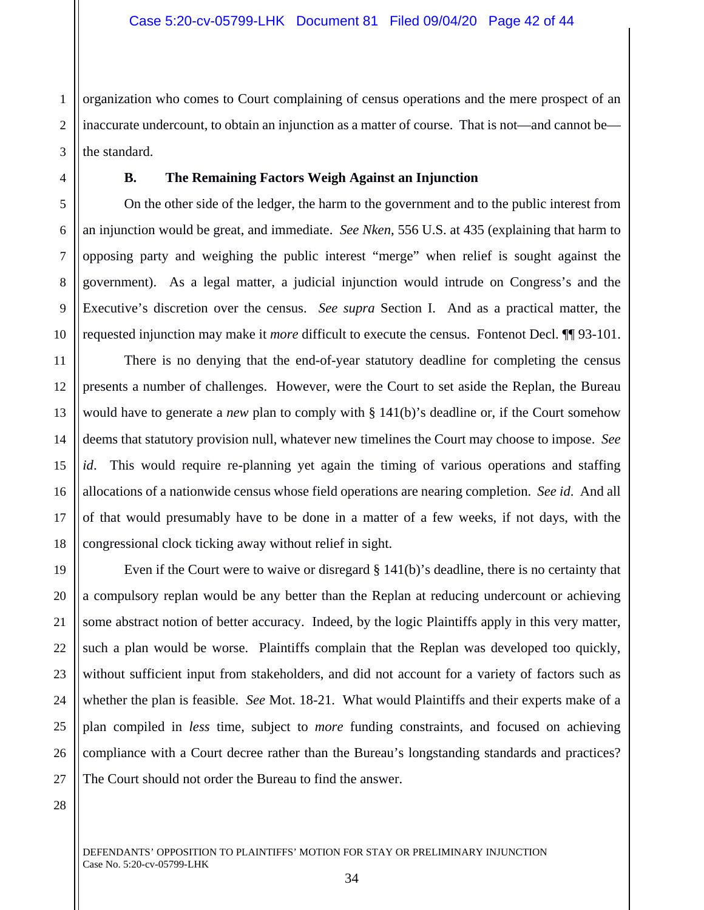1 2 3 organization who comes to Court complaining of census operations and the mere prospect of an inaccurate undercount, to obtain an injunction as a matter of course. That is not—and cannot be the standard.

4

5

6

7

8

9

10

11

12

13

14

15

16

17

18

21

### **B. The Remaining Factors Weigh Against an Injunction**

On the other side of the ledger, the harm to the government and to the public interest from an injunction would be great, and immediate. *See Nken*, 556 U.S. at 435 (explaining that harm to opposing party and weighing the public interest "merge" when relief is sought against the government). As a legal matter, a judicial injunction would intrude on Congress's and the Executive's discretion over the census. *See supra* Section I. And as a practical matter, the requested injunction may make it *more* difficult to execute the census. Fontenot Decl. ¶¶ 93-101.

There is no denying that the end-of-year statutory deadline for completing the census presents a number of challenges. However, were the Court to set aside the Replan, the Bureau would have to generate a *new* plan to comply with § 141(b)'s deadline or, if the Court somehow deems that statutory provision null, whatever new timelines the Court may choose to impose. *See id*. This would require re-planning yet again the timing of various operations and staffing allocations of a nationwide census whose field operations are nearing completion. *See id*. And all of that would presumably have to be done in a matter of a few weeks, if not days, with the congressional clock ticking away without relief in sight.

19 20 22 23 24 25 26 27 Even if the Court were to waive or disregard  $\S 141(b)$ 's deadline, there is no certainty that a compulsory replan would be any better than the Replan at reducing undercount or achieving some abstract notion of better accuracy. Indeed, by the logic Plaintiffs apply in this very matter, such a plan would be worse. Plaintiffs complain that the Replan was developed too quickly, without sufficient input from stakeholders, and did not account for a variety of factors such as whether the plan is feasible. *See* Mot. 18-21. What would Plaintiffs and their experts make of a plan compiled in *less* time, subject to *more* funding constraints, and focused on achieving compliance with a Court decree rather than the Bureau's longstanding standards and practices? The Court should not order the Bureau to find the answer.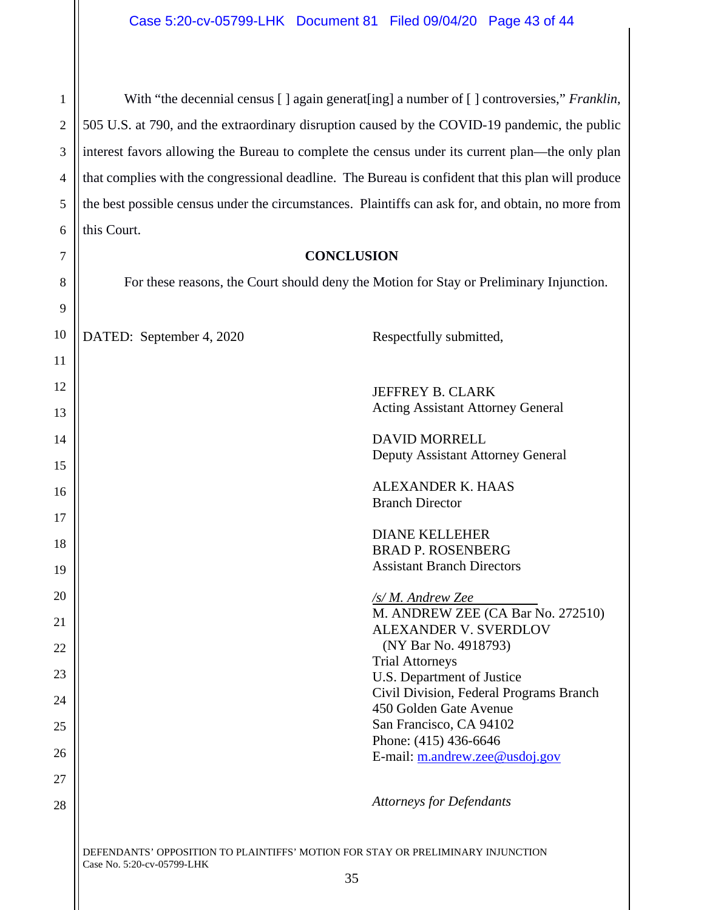1 2 3 4 5 6 With "the decennial census  $\lceil \cdot \rceil$  again generat [ing] a number of  $\lceil \cdot \rceil$  controversies," *Franklin*, 505 U.S. at 790, and the extraordinary disruption caused by the COVID-19 pandemic, the public interest favors allowing the Bureau to complete the census under its current plan—the only plan that complies with the congressional deadline. The Bureau is confident that this plan will produce the best possible census under the circumstances. Plaintiffs can ask for, and obtain, no more from this Court.

#### **CONCLUSION**

7

8

9

For these reasons, the Court should deny the Motion for Stay or Preliminary Injunction.

| 10 | DATED: September 4, 2020 | Respectfully submitted,                                           |
|----|--------------------------|-------------------------------------------------------------------|
| 11 |                          |                                                                   |
| 12 |                          | JEFFREY B. CLARK                                                  |
| 13 |                          | <b>Acting Assistant Attorney General</b>                          |
| 14 |                          | <b>DAVID MORRELL</b>                                              |
| 15 |                          | Deputy Assistant Attorney General                                 |
| 16 |                          | <b>ALEXANDER K. HAAS</b>                                          |
| 17 |                          | <b>Branch Director</b>                                            |
| 18 |                          | <b>DIANE KELLEHER</b>                                             |
| 19 |                          | <b>BRAD P. ROSENBERG</b><br><b>Assistant Branch Directors</b>     |
|    |                          |                                                                   |
| 20 |                          | /s/M. Andrew Zee<br>M. ANDREW ZEE (CA Bar No. 272510)             |
| 21 |                          | <b>ALEXANDER V. SVERDLOV</b>                                      |
| 22 |                          | (NY Bar No. 4918793)<br><b>Trial Attorneys</b>                    |
| 23 |                          | U.S. Department of Justice                                        |
| 24 |                          | Civil Division, Federal Programs Branch<br>450 Golden Gate Avenue |
| 25 |                          | San Francisco, CA 94102                                           |
| 26 |                          | Phone: (415) 436-6646                                             |
| 27 |                          | E-mail: m.andrew.zee@usdoj.gov                                    |
|    |                          | <b>Attorneys for Defendants</b>                                   |
| 28 |                          |                                                                   |
|    |                          |                                                                   |